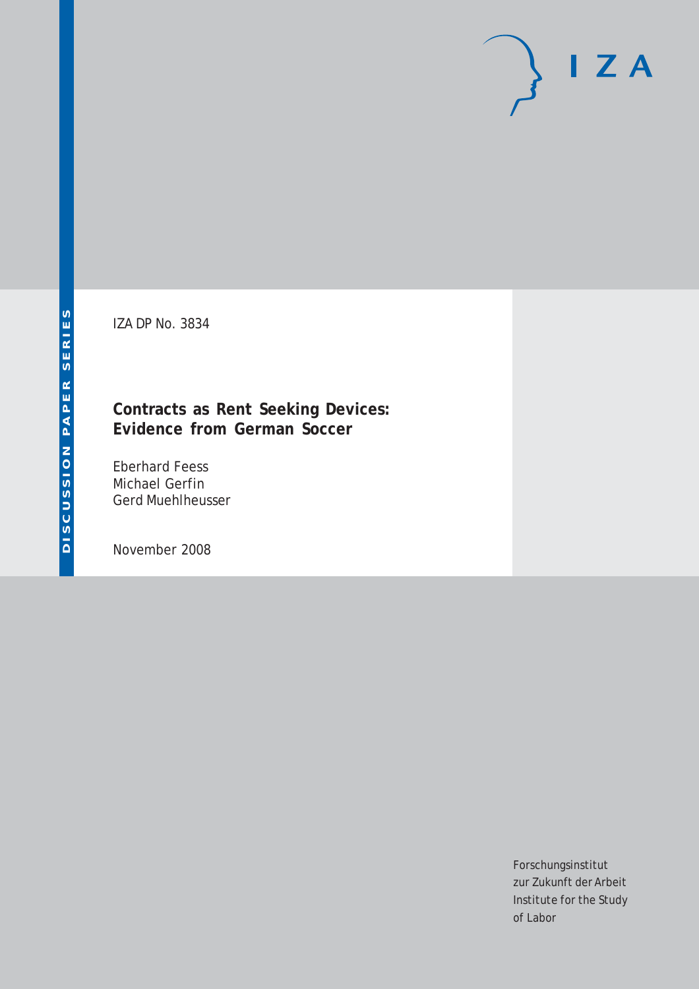# $I Z A$

IZA DP No. 3834

### **Contracts as Rent Seeking Devices: Evidence from German Soccer**

Eberhard Feess Michael Gerfin Gerd Muehlheusser

November 2008

Forschungsinstitut zur Zukunft der Arbeit Institute for the Study of Labor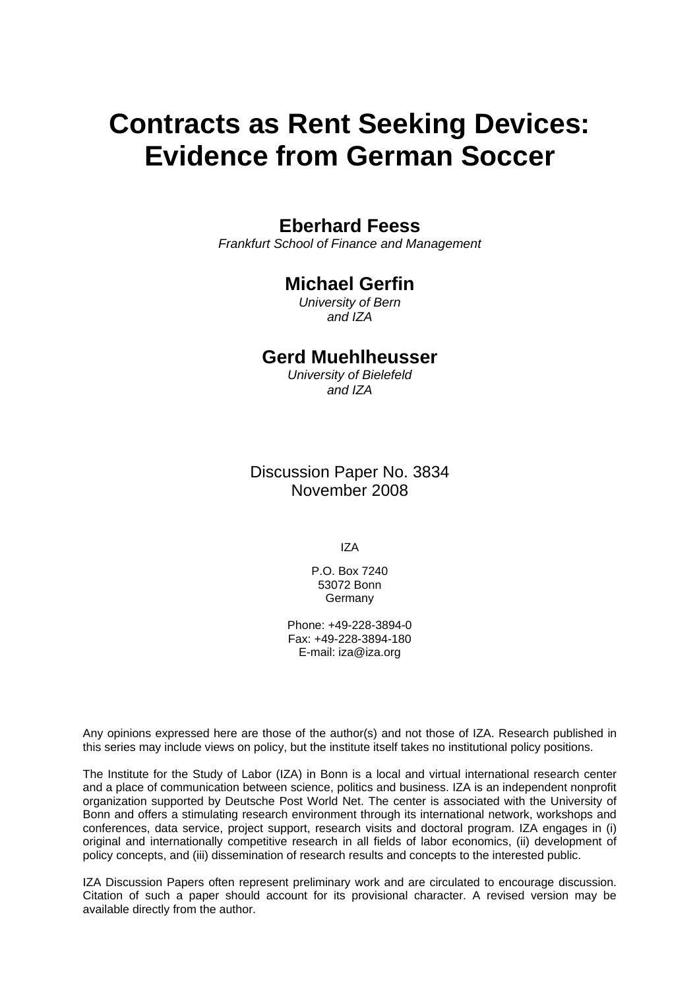# **Contracts as Rent Seeking Devices: Evidence from German Soccer**

# **Eberhard Feess**

*Frankfurt School of Finance and Management* 

### **Michael Gerfin**

*University of Bern and IZA* 

### **Gerd Muehlheusser**

*University of Bielefeld and IZA* 

Discussion Paper No. 3834 November 2008

IZA

P.O. Box 7240 53072 Bonn Germany

Phone: +49-228-3894-0 Fax: +49-228-3894-180 E-mail: [iza@iza.org](mailto:iza@iza.org)

Any opinions expressed here are those of the author(s) and not those of IZA. Research published in this series may include views on policy, but the institute itself takes no institutional policy positions.

The Institute for the Study of Labor (IZA) in Bonn is a local and virtual international research center and a place of communication between science, politics and business. IZA is an independent nonprofit organization supported by Deutsche Post World Net. The center is associated with the University of Bonn and offers a stimulating research environment through its international network, workshops and conferences, data service, project support, research visits and doctoral program. IZA engages in (i) original and internationally competitive research in all fields of labor economics, (ii) development of policy concepts, and (iii) dissemination of research results and concepts to the interested public.

IZA Discussion Papers often represent preliminary work and are circulated to encourage discussion. Citation of such a paper should account for its provisional character. A revised version may be available directly from the author.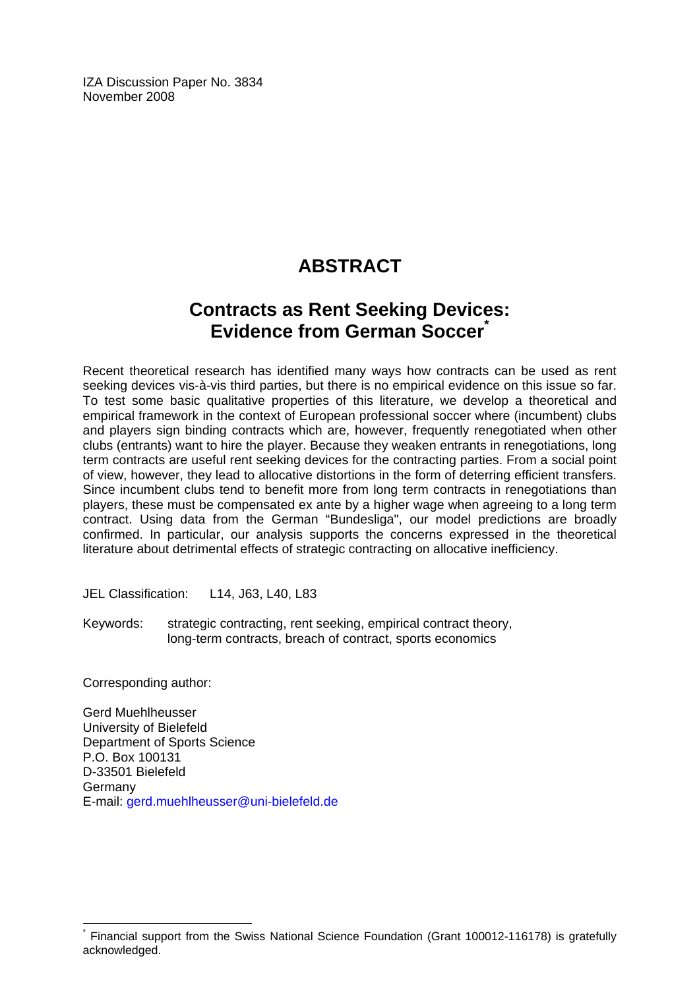IZA Discussion Paper No. 3834 November 2008

# **ABSTRACT**

# **Contracts as Rent Seeking Devices: Evidence from German Soccer[\\*](#page-2-0)**

Recent theoretical research has identified many ways how contracts can be used as rent seeking devices vis-à-vis third parties, but there is no empirical evidence on this issue so far. To test some basic qualitative properties of this literature, we develop a theoretical and empirical framework in the context of European professional soccer where (incumbent) clubs and players sign binding contracts which are, however, frequently renegotiated when other clubs (entrants) want to hire the player. Because they weaken entrants in renegotiations, long term contracts are useful rent seeking devices for the contracting parties. From a social point of view, however, they lead to allocative distortions in the form of deterring efficient transfers. Since incumbent clubs tend to benefit more from long term contracts in renegotiations than players, these must be compensated ex ante by a higher wage when agreeing to a long term contract. Using data from the German "Bundesliga", our model predictions are broadly confirmed. In particular, our analysis supports the concerns expressed in the theoretical literature about detrimental effects of strategic contracting on allocative inefficiency.

JEL Classification: L14, J63, L40, L83

Keywords: strategic contracting, rent seeking, empirical contract theory, long-term contracts, breach of contract, sports economics

Corresponding author:

 $\overline{a}$ 

Gerd Muehlheusser University of Bielefeld Department of Sports Science P.O. Box 100131 D-33501 Bielefeld Germany E-mail: [gerd.muehlheusser@uni-bielefeld.de](mailto:gerd.muehlheusser@uni-bielefeld.de) 

<span id="page-2-0"></span><sup>\*</sup> Financial support from the Swiss National Science Foundation (Grant 100012-116178) is gratefully acknowledged.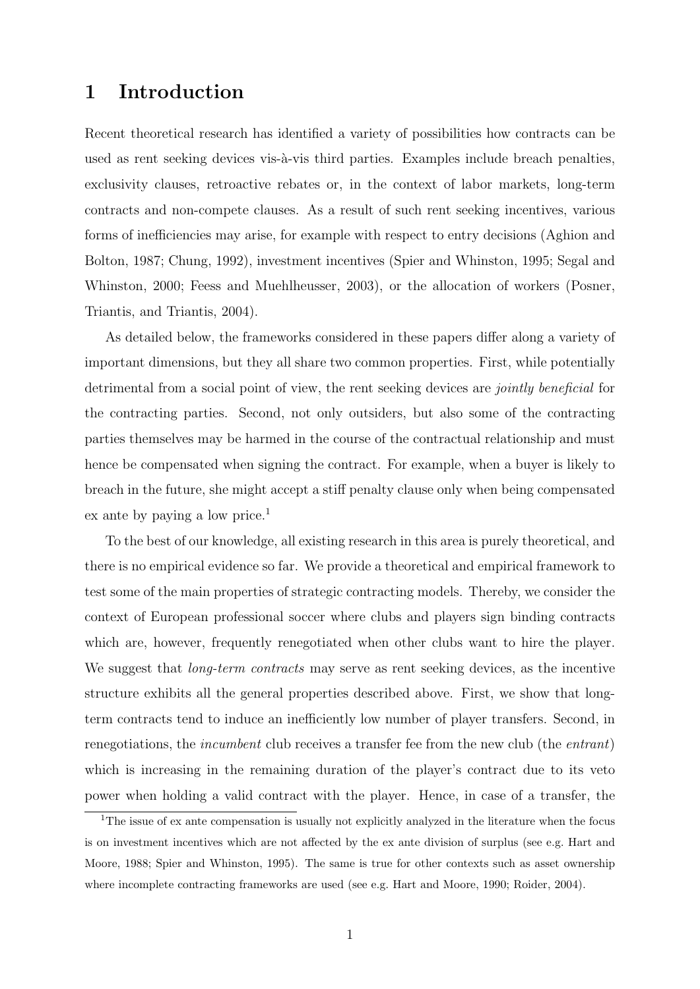# 1 Introduction

Recent theoretical research has identified a variety of possibilities how contracts can be used as rent seeking devices vis- $\lambda$ -vis third parties. Examples include breach penalties, exclusivity clauses, retroactive rebates or, in the context of labor markets, long-term contracts and non-compete clauses. As a result of such rent seeking incentives, various forms of inefficiencies may arise, for example with respect to entry decisions (Aghion and Bolton, 1987; Chung, 1992), investment incentives (Spier and Whinston, 1995; Segal and Whinston, 2000; Feess and Muehlheusser, 2003), or the allocation of workers (Posner, Triantis, and Triantis, 2004).

As detailed below, the frameworks considered in these papers differ along a variety of important dimensions, but they all share two common properties. First, while potentially detrimental from a social point of view, the rent seeking devices are *jointly beneficial* for the contracting parties. Second, not only outsiders, but also some of the contracting parties themselves may be harmed in the course of the contractual relationship and must hence be compensated when signing the contract. For example, when a buyer is likely to breach in the future, she might accept a stiff penalty clause only when being compensated ex ante by paying a low price.<sup>1</sup>

To the best of our knowledge, all existing research in this area is purely theoretical, and there is no empirical evidence so far. We provide a theoretical and empirical framework to test some of the main properties of strategic contracting models. Thereby, we consider the context of European professional soccer where clubs and players sign binding contracts which are, however, frequently renegotiated when other clubs want to hire the player. We suggest that *long-term contracts* may serve as rent seeking devices, as the incentive structure exhibits all the general properties described above. First, we show that longterm contracts tend to induce an inefficiently low number of player transfers. Second, in renegotiations, the *incumbent* club receives a transfer fee from the new club (the *entrant*) which is increasing in the remaining duration of the player's contract due to its veto power when holding a valid contract with the player. Hence, in case of a transfer, the

<sup>&</sup>lt;sup>1</sup>The issue of ex ante compensation is usually not explicitly analyzed in the literature when the focus is on investment incentives which are not affected by the ex ante division of surplus (see e.g. Hart and Moore, 1988; Spier and Whinston, 1995). The same is true for other contexts such as asset ownership where incomplete contracting frameworks are used (see e.g. Hart and Moore, 1990; Roider, 2004).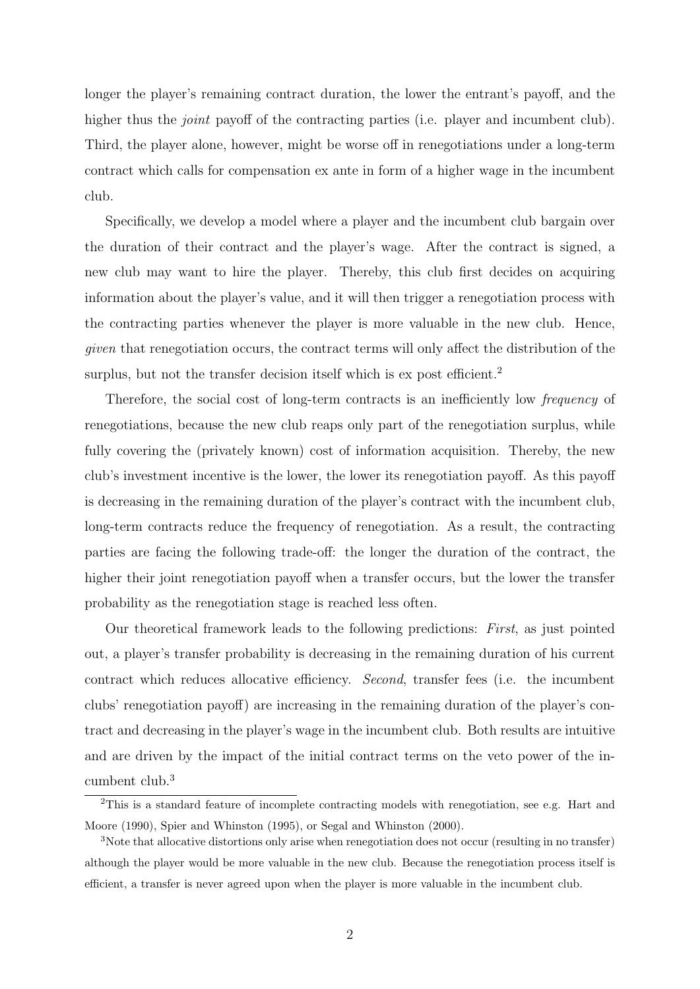longer the player's remaining contract duration, the lower the entrant's payoff, and the higher thus the *joint* payoff of the contracting parties (i.e. player and incumbent club). Third, the player alone, however, might be worse off in renegotiations under a long-term contract which calls for compensation ex ante in form of a higher wage in the incumbent club.

Specifically, we develop a model where a player and the incumbent club bargain over the duration of their contract and the player's wage. After the contract is signed, a new club may want to hire the player. Thereby, this club first decides on acquiring information about the player's value, and it will then trigger a renegotiation process with the contracting parties whenever the player is more valuable in the new club. Hence, given that renegotiation occurs, the contract terms will only affect the distribution of the surplus, but not the transfer decision itself which is ex post efficient.<sup>2</sup>

Therefore, the social cost of long-term contracts is an inefficiently low frequency of renegotiations, because the new club reaps only part of the renegotiation surplus, while fully covering the (privately known) cost of information acquisition. Thereby, the new club's investment incentive is the lower, the lower its renegotiation payoff. As this payoff is decreasing in the remaining duration of the player's contract with the incumbent club, long-term contracts reduce the frequency of renegotiation. As a result, the contracting parties are facing the following trade-off: the longer the duration of the contract, the higher their joint renegotiation payoff when a transfer occurs, but the lower the transfer probability as the renegotiation stage is reached less often.

Our theoretical framework leads to the following predictions: First, as just pointed out, a player's transfer probability is decreasing in the remaining duration of his current contract which reduces allocative efficiency. Second, transfer fees (i.e. the incumbent clubs' renegotiation payoff) are increasing in the remaining duration of the player's contract and decreasing in the player's wage in the incumbent club. Both results are intuitive and are driven by the impact of the initial contract terms on the veto power of the incumbent club.<sup>3</sup>

<sup>&</sup>lt;sup>2</sup>This is a standard feature of incomplete contracting models with renegotiation, see e.g. Hart and Moore (1990), Spier and Whinston (1995), or Segal and Whinston (2000).

<sup>3</sup>Note that allocative distortions only arise when renegotiation does not occur (resulting in no transfer) although the player would be more valuable in the new club. Because the renegotiation process itself is efficient, a transfer is never agreed upon when the player is more valuable in the incumbent club.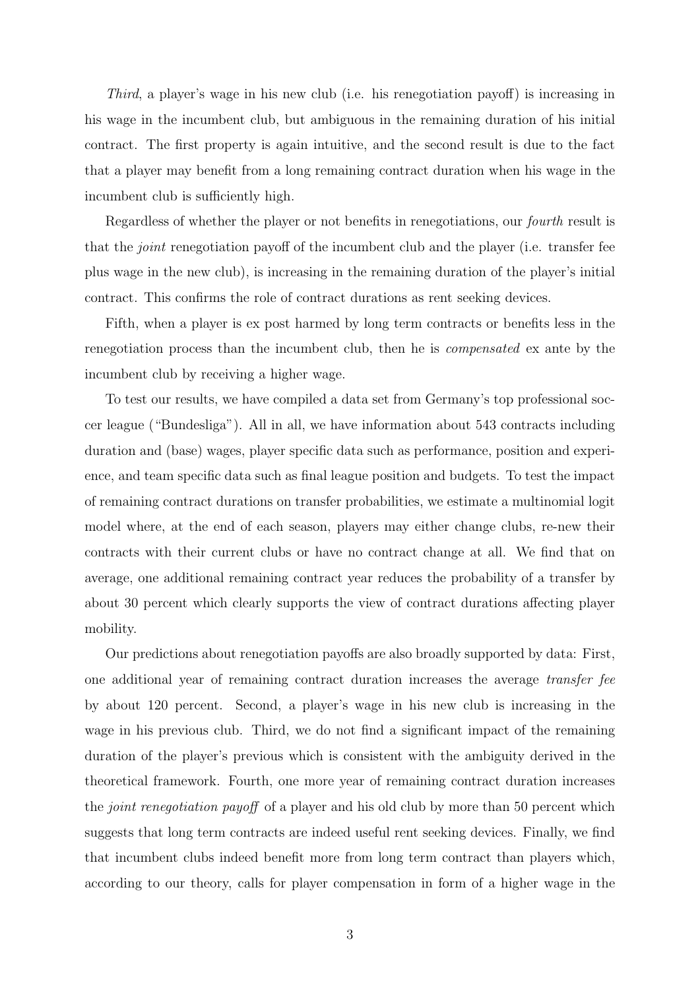Third, a player's wage in his new club (i.e. his renegotiation payoff) is increasing in his wage in the incumbent club, but ambiguous in the remaining duration of his initial contract. The first property is again intuitive, and the second result is due to the fact that a player may benefit from a long remaining contract duration when his wage in the incumbent club is sufficiently high.

Regardless of whether the player or not benefits in renegotiations, our fourth result is that the joint renegotiation payoff of the incumbent club and the player (i.e. transfer fee plus wage in the new club), is increasing in the remaining duration of the player's initial contract. This confirms the role of contract durations as rent seeking devices.

Fifth, when a player is ex post harmed by long term contracts or benefits less in the renegotiation process than the incumbent club, then he is compensated ex ante by the incumbent club by receiving a higher wage.

To test our results, we have compiled a data set from Germany's top professional soccer league ("Bundesliga"). All in all, we have information about 543 contracts including duration and (base) wages, player specific data such as performance, position and experience, and team specific data such as final league position and budgets. To test the impact of remaining contract durations on transfer probabilities, we estimate a multinomial logit model where, at the end of each season, players may either change clubs, re-new their contracts with their current clubs or have no contract change at all. We find that on average, one additional remaining contract year reduces the probability of a transfer by about 30 percent which clearly supports the view of contract durations affecting player mobility.

Our predictions about renegotiation payoffs are also broadly supported by data: First, one additional year of remaining contract duration increases the average transfer fee by about 120 percent. Second, a player's wage in his new club is increasing in the wage in his previous club. Third, we do not find a significant impact of the remaining duration of the player's previous which is consistent with the ambiguity derived in the theoretical framework. Fourth, one more year of remaining contract duration increases the joint renegotiation payoff of a player and his old club by more than 50 percent which suggests that long term contracts are indeed useful rent seeking devices. Finally, we find that incumbent clubs indeed benefit more from long term contract than players which, according to our theory, calls for player compensation in form of a higher wage in the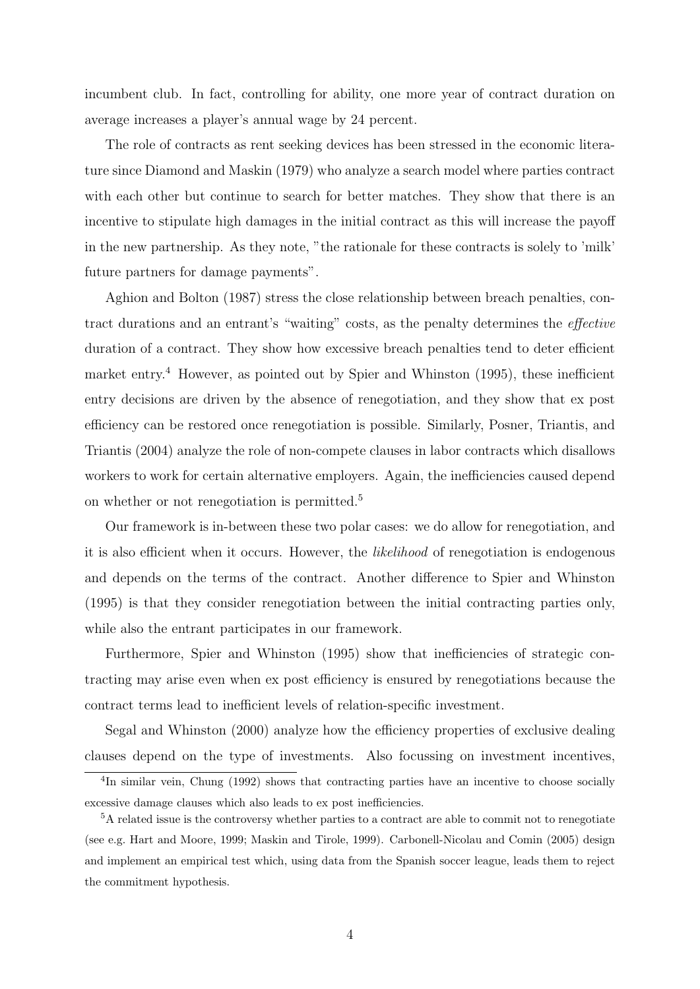incumbent club. In fact, controlling for ability, one more year of contract duration on average increases a player's annual wage by 24 percent.

The role of contracts as rent seeking devices has been stressed in the economic literature since Diamond and Maskin (1979) who analyze a search model where parties contract with each other but continue to search for better matches. They show that there is an incentive to stipulate high damages in the initial contract as this will increase the payoff in the new partnership. As they note, "the rationale for these contracts is solely to 'milk' future partners for damage payments".

Aghion and Bolton (1987) stress the close relationship between breach penalties, contract durations and an entrant's "waiting" costs, as the penalty determines the effective duration of a contract. They show how excessive breach penalties tend to deter efficient market entry.<sup>4</sup> However, as pointed out by Spier and Whinston  $(1995)$ , these inefficient entry decisions are driven by the absence of renegotiation, and they show that ex post efficiency can be restored once renegotiation is possible. Similarly, Posner, Triantis, and Triantis (2004) analyze the role of non-compete clauses in labor contracts which disallows workers to work for certain alternative employers. Again, the inefficiencies caused depend on whether or not renegotiation is permitted.<sup>5</sup>

Our framework is in-between these two polar cases: we do allow for renegotiation, and it is also efficient when it occurs. However, the likelihood of renegotiation is endogenous and depends on the terms of the contract. Another difference to Spier and Whinston (1995) is that they consider renegotiation between the initial contracting parties only, while also the entrant participates in our framework.

Furthermore, Spier and Whinston (1995) show that inefficiencies of strategic contracting may arise even when ex post efficiency is ensured by renegotiations because the contract terms lead to inefficient levels of relation-specific investment.

Segal and Whinston (2000) analyze how the efficiency properties of exclusive dealing clauses depend on the type of investments. Also focussing on investment incentives,

<sup>&</sup>lt;sup>4</sup>In similar vein, Chung (1992) shows that contracting parties have an incentive to choose socially excessive damage clauses which also leads to ex post inefficiencies.

 ${}^{5}$ A related issue is the controversy whether parties to a contract are able to commit not to renegotiate (see e.g. Hart and Moore, 1999; Maskin and Tirole, 1999). Carbonell-Nicolau and Comin (2005) design and implement an empirical test which, using data from the Spanish soccer league, leads them to reject the commitment hypothesis.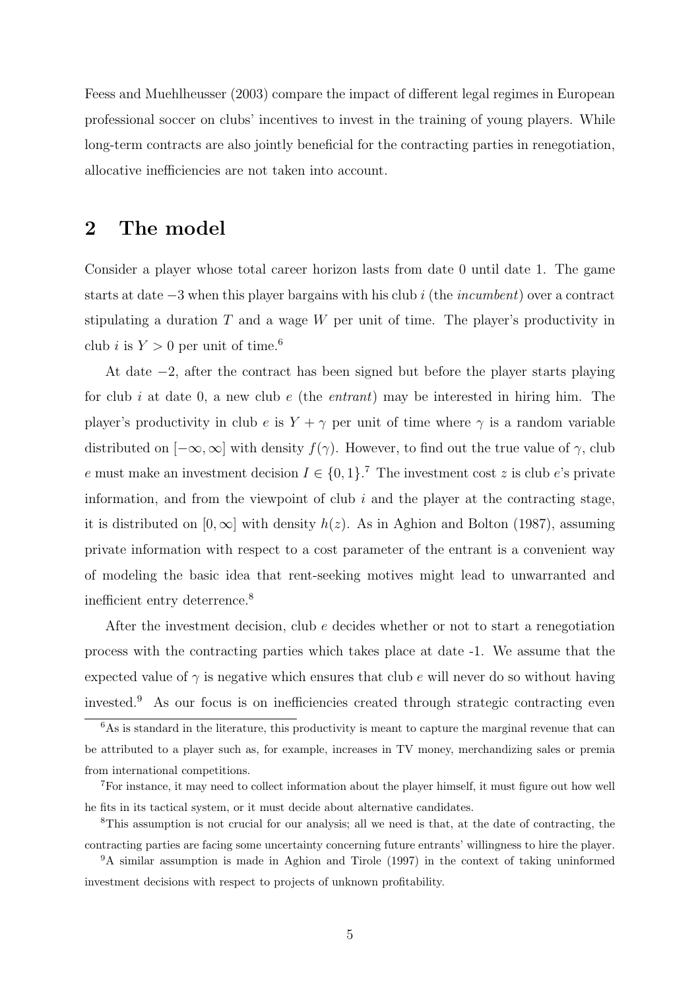Feess and Muehlheusser (2003) compare the impact of different legal regimes in European professional soccer on clubs' incentives to invest in the training of young players. While long-term contracts are also jointly beneficial for the contracting parties in renegotiation, allocative inefficiencies are not taken into account.

# 2 The model

Consider a player whose total career horizon lasts from date 0 until date 1. The game starts at date −3 when this player bargains with his club i (the incumbent) over a contract stipulating a duration  $T$  and a wage  $W$  per unit of time. The player's productivity in club *i* is  $Y > 0$  per unit of time.<sup>6</sup>

At date −2, after the contract has been signed but before the player starts playing for club i at date 0, a new club e (the entrant) may be interested in hiring him. The player's productivity in club e is  $Y + \gamma$  per unit of time where  $\gamma$  is a random variable distributed on  $[-\infty,\infty]$  with density  $f(\gamma)$ . However, to find out the true value of  $\gamma$ , club e must make an investment decision  $I \in \{0,1\}$ .<sup>7</sup> The investment cost z is club e's private information, and from the viewpoint of club  $i$  and the player at the contracting stage, it is distributed on  $[0,\infty]$  with density  $h(z)$ . As in Aghion and Bolton (1987), assuming private information with respect to a cost parameter of the entrant is a convenient way of modeling the basic idea that rent-seeking motives might lead to unwarranted and inefficient entry deterrence.<sup>8</sup>

After the investment decision, club e decides whether or not to start a renegotiation process with the contracting parties which takes place at date -1. We assume that the expected value of  $\gamma$  is negative which ensures that club e will never do so without having invested.<sup>9</sup> As our focus is on inefficiencies created through strategic contracting even

<sup>&</sup>lt;sup>6</sup>As is standard in the literature, this productivity is meant to capture the marginal revenue that can be attributed to a player such as, for example, increases in TV money, merchandizing sales or premia from international competitions.

<sup>7</sup>For instance, it may need to collect information about the player himself, it must figure out how well he fits in its tactical system, or it must decide about alternative candidates.

<sup>8</sup>This assumption is not crucial for our analysis; all we need is that, at the date of contracting, the contracting parties are facing some uncertainty concerning future entrants' willingness to hire the player. <sup>9</sup>A similar assumption is made in Aghion and Tirole (1997) in the context of taking uninformed

investment decisions with respect to projects of unknown profitability.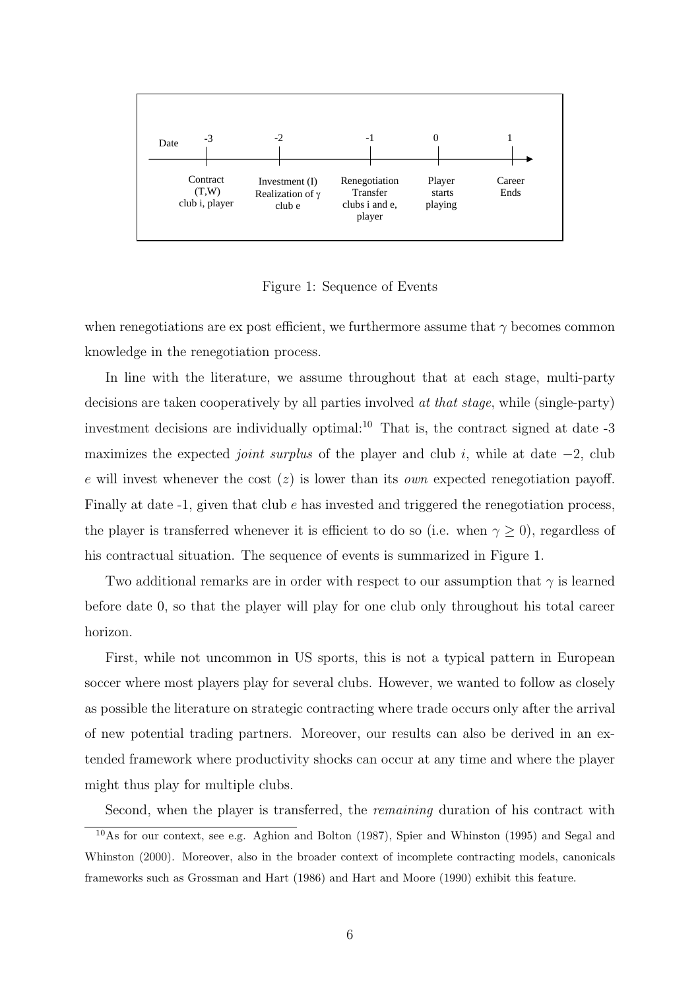

Figure 1: Sequence of Events

when renegotiations are ex post efficient, we furthermore assume that  $\gamma$  becomes common knowledge in the renegotiation process.

In line with the literature, we assume throughout that at each stage, multi-party decisions are taken cooperatively by all parties involved at that stage, while (single-party) investment decisions are individually optimal: $^{10}$  That is, the contract signed at date  $-3$ maximizes the expected *joint surplus* of the player and club i, while at date  $-2$ , club e will invest whenever the cost  $(z)$  is lower than its *own* expected renegotiation payoff. Finally at date  $-1$ , given that club  $e$  has invested and triggered the renegotiation process, the player is transferred whenever it is efficient to do so (i.e. when  $\gamma \geq 0$ ), regardless of his contractual situation. The sequence of events is summarized in Figure 1.

Two additional remarks are in order with respect to our assumption that  $\gamma$  is learned before date 0, so that the player will play for one club only throughout his total career horizon.

First, while not uncommon in US sports, this is not a typical pattern in European soccer where most players play for several clubs. However, we wanted to follow as closely as possible the literature on strategic contracting where trade occurs only after the arrival of new potential trading partners. Moreover, our results can also be derived in an extended framework where productivity shocks can occur at any time and where the player might thus play for multiple clubs.

Second, when the player is transferred, the remaining duration of his contract with <sup>10</sup>As for our context, see e.g. Aghion and Bolton (1987), Spier and Whinston (1995) and Segal and Whinston (2000). Moreover, also in the broader context of incomplete contracting models, canonicals frameworks such as Grossman and Hart (1986) and Hart and Moore (1990) exhibit this feature.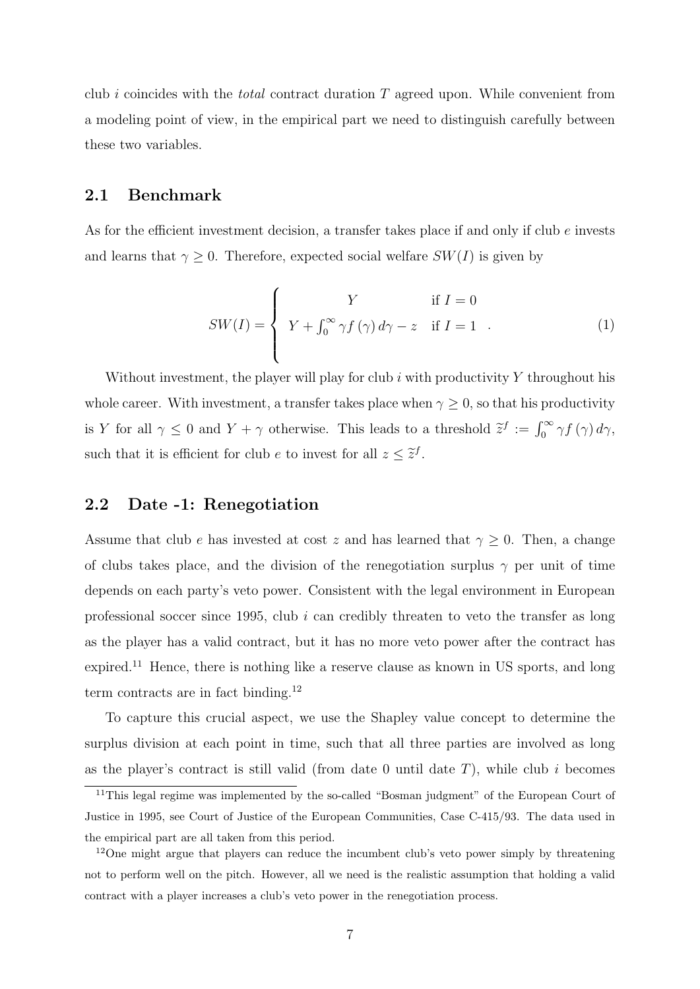club i coincides with the *total* contract duration  $T$  agreed upon. While convenient from a modeling point of view, in the empirical part we need to distinguish carefully between these two variables.

### 2.1 Benchmark

As for the efficient investment decision, a transfer takes place if and only if club e invests and learns that  $\gamma \geq 0$ . Therefore, expected social welfare  $SW(I)$  is given by

$$
SW(I) = \begin{cases} Y & \text{if } I = 0\\ Y + \int_0^\infty \gamma f(\gamma) d\gamma - z & \text{if } I = 1 \end{cases}
$$
 (1)

Without investment, the player will play for club  $i$  with productivity  $Y$  throughout his whole career. With investment, a transfer takes place when  $\gamma \geq 0$ , so that his productivity is Y for all  $\gamma \leq 0$  and  $Y + \gamma$  otherwise. This leads to a threshold  $\tilde{z}^f := \int_0^\infty \gamma f(\gamma) d\gamma$ , such that it is efficient for club e to invest for all  $z \leq \tilde{z}^f$ .

### 2.2 Date -1: Renegotiation

Assume that club e has invested at cost z and has learned that  $\gamma \geq 0$ . Then, a change of clubs takes place, and the division of the renegotiation surplus  $\gamma$  per unit of time depends on each party's veto power. Consistent with the legal environment in European professional soccer since 1995, club  $i$  can credibly threaten to veto the transfer as long as the player has a valid contract, but it has no more veto power after the contract has expired.<sup>11</sup> Hence, there is nothing like a reserve clause as known in US sports, and long term contracts are in fact binding.<sup>12</sup>

To capture this crucial aspect, we use the Shapley value concept to determine the surplus division at each point in time, such that all three parties are involved as long as the player's contract is still valid (from date 0 until date  $T$ ), while club i becomes

<sup>&</sup>lt;sup>11</sup>This legal regime was implemented by the so-called "Bosman judgment" of the European Court of Justice in 1995, see Court of Justice of the European Communities, Case C-415/93. The data used in the empirical part are all taken from this period.

<sup>&</sup>lt;sup>12</sup>One might argue that players can reduce the incumbent club's veto power simply by threatening not to perform well on the pitch. However, all we need is the realistic assumption that holding a valid contract with a player increases a club's veto power in the renegotiation process.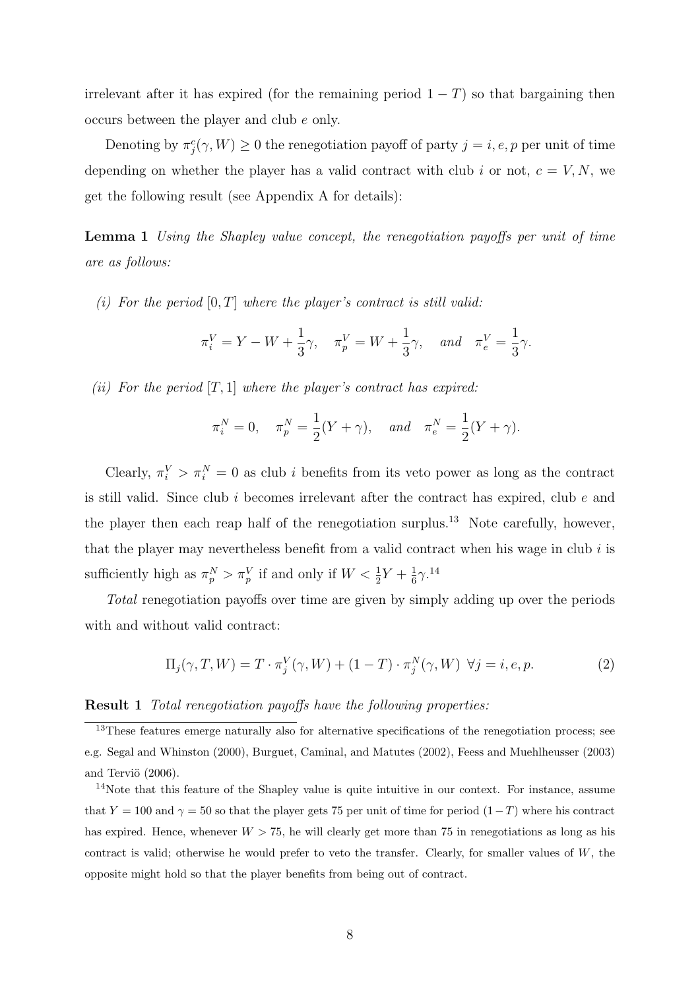irrelevant after it has expired (for the remaining period  $1-T$ ) so that bargaining then occurs between the player and club e only.

Denoting by  $\pi_j^c(\gamma, W) \geq 0$  the renegotiation payoff of party  $j = i, e, p$  per unit of time depending on whether the player has a valid contract with club i or not,  $c = V, N$ , we get the following result (see Appendix A for details):

Lemma 1 Using the Shapley value concept, the renegotiation payoffs per unit of time are as follows:

(i) For the period  $[0, T]$  where the player's contract is still valid:

$$
\pi_i^V = Y - W + \frac{1}{3}\gamma
$$
,  $\pi_p^V = W + \frac{1}{3}\gamma$ , and  $\pi_e^V = \frac{1}{3}\gamma$ .

(ii) For the period  $[T, 1]$  where the player's contract has expired:

$$
\pi_i^N = 0
$$
,  $\pi_p^N = \frac{1}{2}(Y + \gamma)$ , and  $\pi_e^N = \frac{1}{2}(Y + \gamma)$ .

Clearly,  $\pi_i^V > \pi_i^N = 0$  as club *i* benefits from its veto power as long as the contract is still valid. Since club  $i$  becomes irrelevant after the contract has expired, club  $e$  and the player then each reap half of the renegotiation surplus.<sup>13</sup> Note carefully, however, that the player may nevertheless benefit from a valid contract when his wage in club  $i$  is sufficiently high as  $\pi_p^N > \pi_p^V$  if and only if  $W < \frac{1}{2}Y + \frac{1}{6}$  $rac{1}{6}\gamma$ .<sup>14</sup>

Total renegotiation payoffs over time are given by simply adding up over the periods with and without valid contract:

$$
\Pi_j(\gamma, T, W) = T \cdot \pi_j^V(\gamma, W) + (1 - T) \cdot \pi_j^N(\gamma, W) \quad \forall j = i, e, p. \tag{2}
$$

### Result 1 Total renegotiation payoffs have the following properties:

 $\frac{13}{13}$ These features emerge naturally also for alternative specifications of the renegotiation process; see e.g. Segal and Whinston (2000), Burguet, Caminal, and Matutes (2002), Feess and Muehlheusser (2003) and Terviö  $(2006)$ .

<sup>&</sup>lt;sup>14</sup>Note that this feature of the Shapley value is quite intuitive in our context. For instance, assume that Y = 100 and  $\gamma$  = 50 so that the player gets 75 per unit of time for period  $(1-T)$  where his contract has expired. Hence, whenever  $W > 75$ , he will clearly get more than 75 in renegotiations as long as his contract is valid; otherwise he would prefer to veto the transfer. Clearly, for smaller values of  $W$ , the opposite might hold so that the player benefits from being out of contract.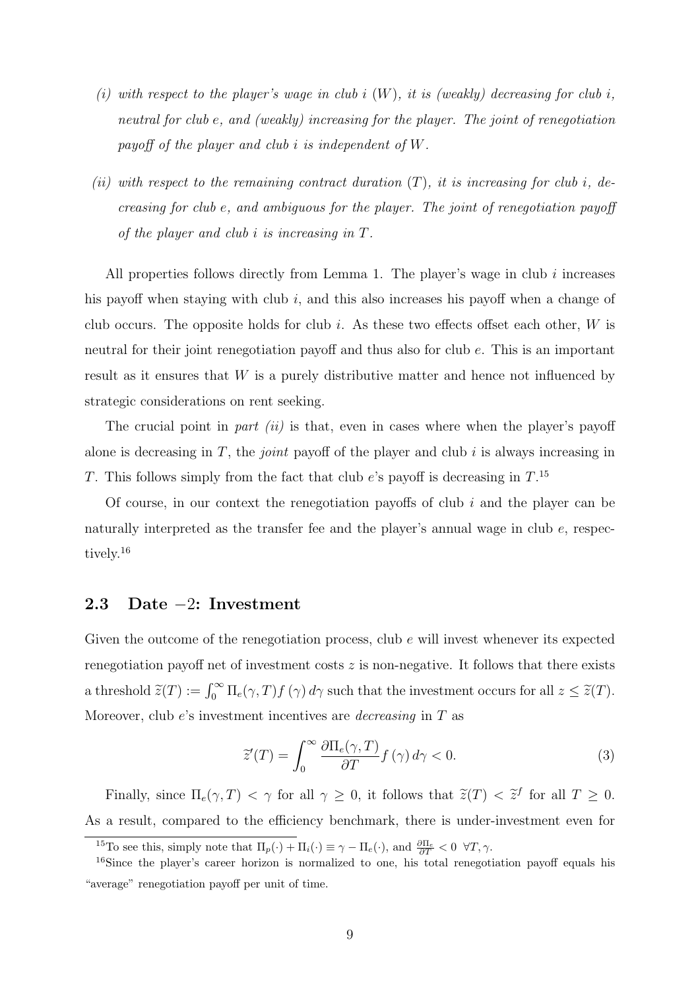- (i) with respect to the player's wage in club i  $(W)$ , it is (weakly) decreasing for club i, neutral for club e, and (weakly) increasing for the player. The joint of renegotiation payoff of the player and club i is independent of W.
- (ii) with respect to the remaining contract duration  $(T)$ , it is increasing for club i, decreasing for club e, and ambiguous for the player. The joint of renegotiation payoff of the player and club i is increasing in T.

All properties follows directly from Lemma 1. The player's wage in club  $i$  increases his payoff when staying with club  $i$ , and this also increases his payoff when a change of club occurs. The opposite holds for club i. As these two effects offset each other,  $W$  is neutral for their joint renegotiation payoff and thus also for club e. This is an important result as it ensures that W is a purely distributive matter and hence not influenced by strategic considerations on rent seeking.

The crucial point in part (ii) is that, even in cases where when the player's payoff alone is decreasing in  $T$ , the *joint* payoff of the player and club i is always increasing in T. This follows simply from the fact that club  $e$ 's payoff is decreasing in  $T$ .<sup>15</sup>

Of course, in our context the renegotiation payoffs of club  $i$  and the player can be naturally interpreted as the transfer fee and the player's annual wage in club e, respectively.<sup>16</sup>

### 2.3 Date −2: Investment

Given the outcome of the renegotiation process, club e will invest whenever its expected renegotiation payoff net of investment costs  $z$  is non-negative. It follows that there exists a threshold  $\tilde{z}(T) := \int_0^\infty \Pi_e(\gamma, T) f(\gamma) d\gamma$  such that the investment occurs for all  $z \leq \tilde{z}(T)$ . Moreover, club e's investment incentives are decreasing in T as

$$
\tilde{z}'(T) = \int_0^\infty \frac{\partial \Pi_e(\gamma, T)}{\partial T} f(\gamma) d\gamma < 0. \tag{3}
$$

Finally, since  $\Pi_e(\gamma, T) < \gamma$  for all  $\gamma \geq 0$ , it follows that  $\tilde{z}(T) < \tilde{z}^f$  for all  $T \geq 0$ . As a result, compared to the efficiency benchmark, there is under-investment even for

<sup>&</sup>lt;sup>15</sup>To see this, simply note that  $\Pi_p(\cdot) + \Pi_i(\cdot) \equiv \gamma - \Pi_e(\cdot)$ , and  $\frac{\partial \Pi_e}{\partial T} < 0 \ \forall T, \gamma$ .

<sup>&</sup>lt;sup>16</sup>Since the player's career horizon is normalized to one, his total renegotiation payoff equals his "average" renegotiation payoff per unit of time.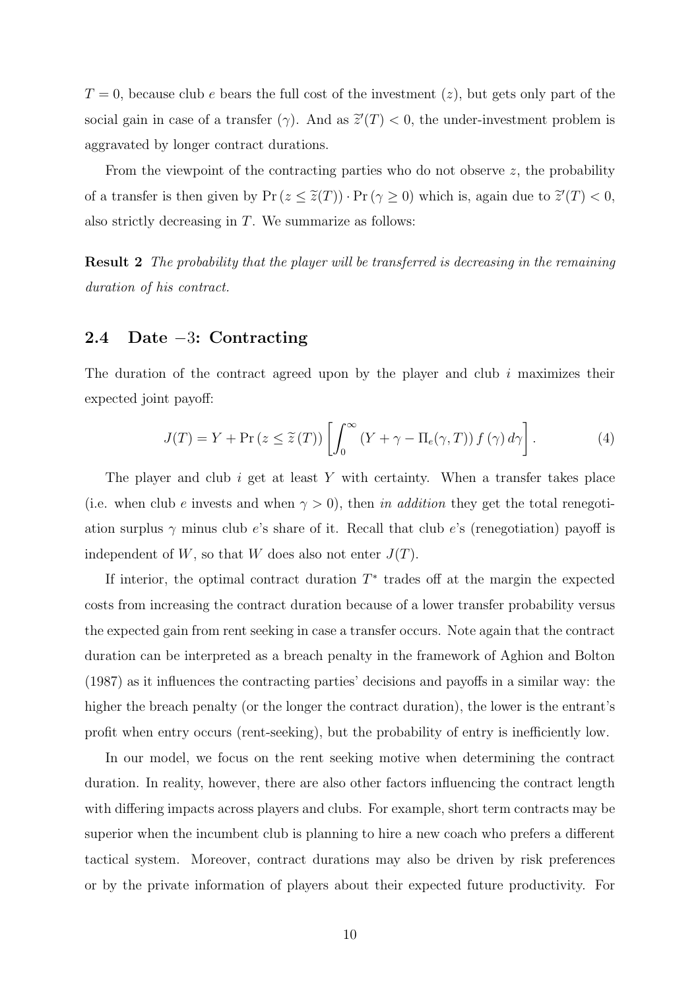$T=0$ , because club e bears the full cost of the investment  $(z)$ , but gets only part of the social gain in case of a transfer ( $\gamma$ ). And as  $\tilde{z}'(T) < 0$ , the under-investment problem is aggravated by longer contract durations.

From the viewpoint of the contracting parties who do not observe z, the probability of a transfer is then given by  $Pr(z \leq \tilde{z}(T)) \cdot Pr(\gamma \geq 0)$  which is, again due to  $\tilde{z}'(T) < 0$ , also strictly decreasing in T. We summarize as follows:

**Result 2** The probability that the player will be transferred is decreasing in the remaining duration of his contract.

### 2.4 Date −3: Contracting

The duration of the contract agreed upon by the player and club  $i$  maximizes their expected joint payoff:

$$
J(T) = Y + \Pr(z \le \tilde{z}(T)) \left[ \int_0^\infty (Y + \gamma - \Pi_e(\gamma, T)) f(\gamma) d\gamma \right]. \tag{4}
$$

The player and club  $i$  get at least  $Y$  with certainty. When a transfer takes place (i.e. when club e invests and when  $\gamma > 0$ ), then in addition they get the total renegotiation surplus  $\gamma$  minus club e's share of it. Recall that club e's (renegotiation) payoff is independent of W, so that W does also not enter  $J(T)$ .

If interior, the optimal contract duration  $T^*$  trades off at the margin the expected costs from increasing the contract duration because of a lower transfer probability versus the expected gain from rent seeking in case a transfer occurs. Note again that the contract duration can be interpreted as a breach penalty in the framework of Aghion and Bolton (1987) as it influences the contracting parties' decisions and payoffs in a similar way: the higher the breach penalty (or the longer the contract duration), the lower is the entrant's profit when entry occurs (rent-seeking), but the probability of entry is inefficiently low.

In our model, we focus on the rent seeking motive when determining the contract duration. In reality, however, there are also other factors influencing the contract length with differing impacts across players and clubs. For example, short term contracts may be superior when the incumbent club is planning to hire a new coach who prefers a different tactical system. Moreover, contract durations may also be driven by risk preferences or by the private information of players about their expected future productivity. For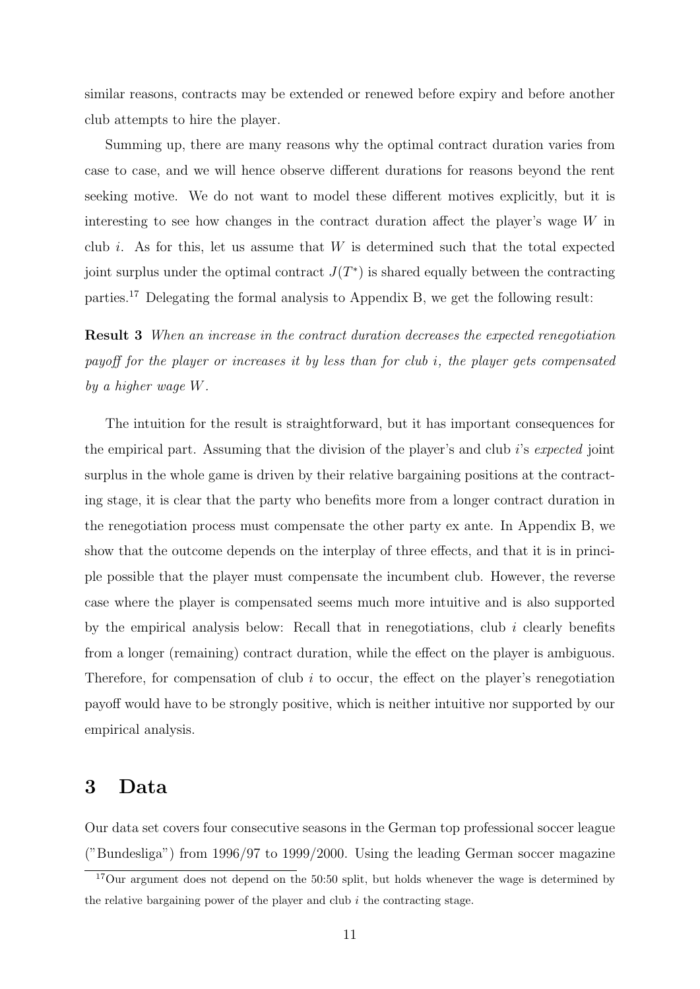similar reasons, contracts may be extended or renewed before expiry and before another club attempts to hire the player.

Summing up, there are many reasons why the optimal contract duration varies from case to case, and we will hence observe different durations for reasons beyond the rent seeking motive. We do not want to model these different motives explicitly, but it is interesting to see how changes in the contract duration affect the player's wage  $W$  in club i. As for this, let us assume that  $W$  is determined such that the total expected joint surplus under the optimal contract  $J(T^*)$  is shared equally between the contracting parties.<sup>17</sup> Delegating the formal analysis to Appendix B, we get the following result:

Result 3 When an increase in the contract duration decreases the expected renegotiation payoff for the player or increases it by less than for club i, the player gets compensated by a higher wage W.

The intuition for the result is straightforward, but it has important consequences for the empirical part. Assuming that the division of the player's and club i's expected joint surplus in the whole game is driven by their relative bargaining positions at the contracting stage, it is clear that the party who benefits more from a longer contract duration in the renegotiation process must compensate the other party ex ante. In Appendix B, we show that the outcome depends on the interplay of three effects, and that it is in principle possible that the player must compensate the incumbent club. However, the reverse case where the player is compensated seems much more intuitive and is also supported by the empirical analysis below: Recall that in renegotiations, club  $i$  clearly benefits from a longer (remaining) contract duration, while the effect on the player is ambiguous. Therefore, for compensation of club  $i$  to occur, the effect on the player's renegotiation payoff would have to be strongly positive, which is neither intuitive nor supported by our empirical analysis.

### 3 Data

Our data set covers four consecutive seasons in the German top professional soccer league ("Bundesliga") from 1996/97 to 1999/2000. Using the leading German soccer magazine

 $17$ Our argument does not depend on the 50:50 split, but holds whenever the wage is determined by the relative bargaining power of the player and club  $i$  the contracting stage.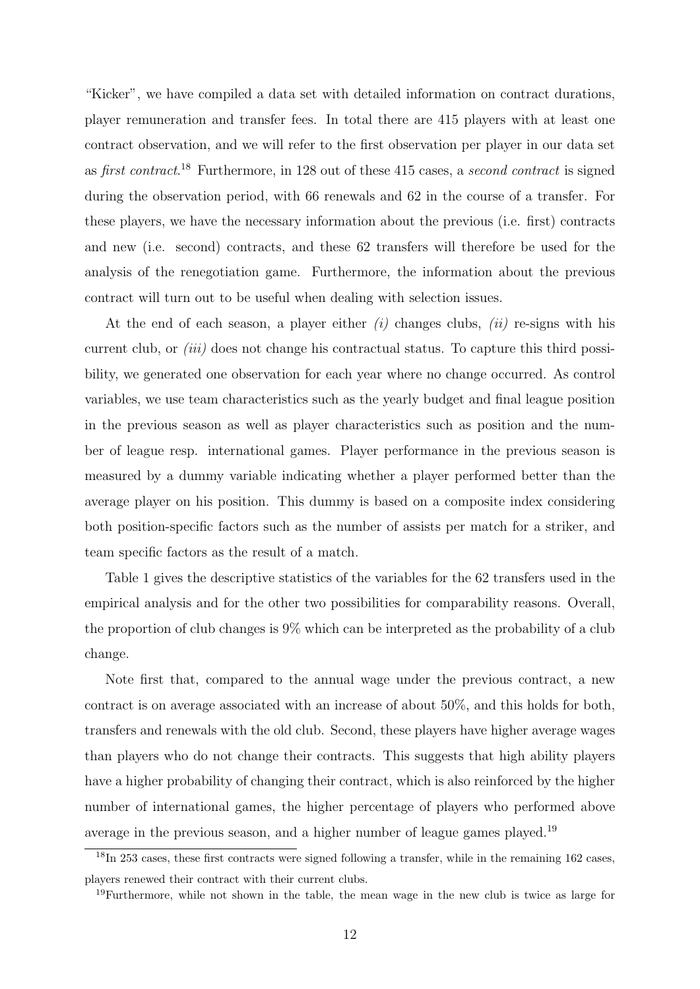"Kicker", we have compiled a data set with detailed information on contract durations, player remuneration and transfer fees. In total there are 415 players with at least one contract observation, and we will refer to the first observation per player in our data set as first contract.<sup>18</sup> Furthermore, in 128 out of these 415 cases, a second contract is signed during the observation period, with 66 renewals and 62 in the course of a transfer. For these players, we have the necessary information about the previous (i.e. first) contracts and new (i.e. second) contracts, and these 62 transfers will therefore be used for the analysis of the renegotiation game. Furthermore, the information about the previous contract will turn out to be useful when dealing with selection issues.

At the end of each season, a player either  $(i)$  changes clubs,  $(ii)$  re-signs with his current club, or *(iii)* does not change his contractual status. To capture this third possibility, we generated one observation for each year where no change occurred. As control variables, we use team characteristics such as the yearly budget and final league position in the previous season as well as player characteristics such as position and the number of league resp. international games. Player performance in the previous season is measured by a dummy variable indicating whether a player performed better than the average player on his position. This dummy is based on a composite index considering both position-specific factors such as the number of assists per match for a striker, and team specific factors as the result of a match.

Table 1 gives the descriptive statistics of the variables for the 62 transfers used in the empirical analysis and for the other two possibilities for comparability reasons. Overall, the proportion of club changes is 9% which can be interpreted as the probability of a club change.

Note first that, compared to the annual wage under the previous contract, a new contract is on average associated with an increase of about 50%, and this holds for both, transfers and renewals with the old club. Second, these players have higher average wages than players who do not change their contracts. This suggests that high ability players have a higher probability of changing their contract, which is also reinforced by the higher number of international games, the higher percentage of players who performed above average in the previous season, and a higher number of league games played.<sup>19</sup>

<sup>&</sup>lt;sup>18</sup>In 253 cases, these first contracts were signed following a transfer, while in the remaining 162 cases, players renewed their contract with their current clubs.

<sup>19</sup>Furthermore, while not shown in the table, the mean wage in the new club is twice as large for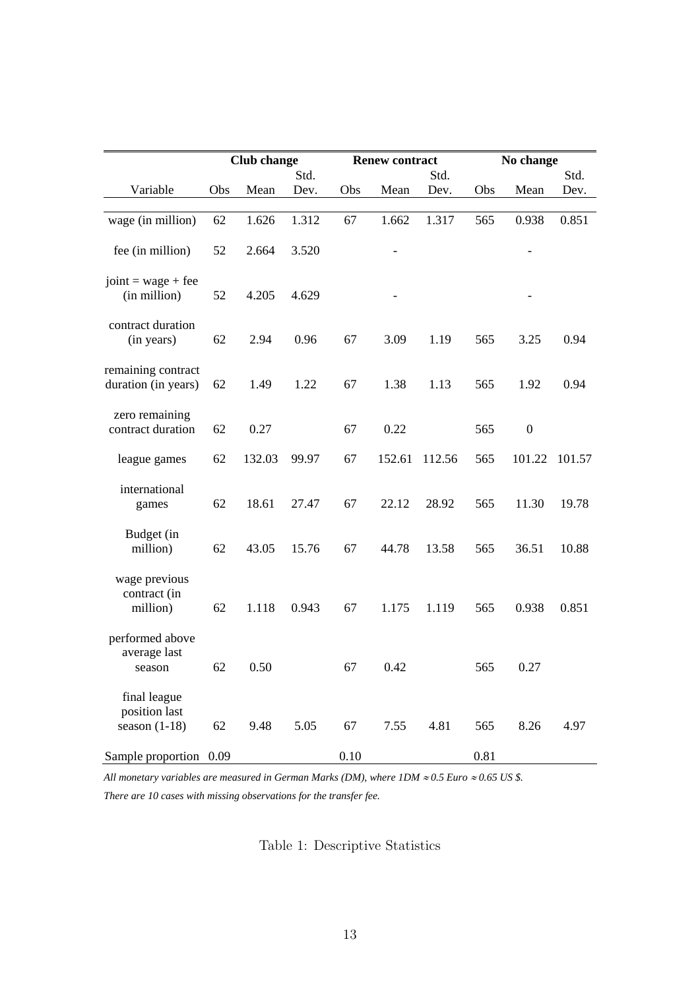|                                                  |     | <b>Club</b> change |       |      | <b>Renew contract</b> |        |      | No change        |        |
|--------------------------------------------------|-----|--------------------|-------|------|-----------------------|--------|------|------------------|--------|
|                                                  |     |                    | Std.  |      |                       | Std.   |      |                  | Std.   |
| Variable                                         | Obs | Mean               | Dev.  | Obs  | Mean                  | Dev.   | Obs  | Mean             | Dev.   |
| wage (in million)                                | 62  | 1.626              | 1.312 | 67   | 1.662                 | 1.317  | 565  | 0.938            | 0.851  |
| fee (in million)                                 | 52  | 2.664              | 3.520 |      |                       |        |      |                  |        |
| joint = $wage + fee$<br>(in million)             | 52  | 4.205              | 4.629 |      |                       |        |      |                  |        |
| contract duration<br>(in years)                  | 62  | 2.94               | 0.96  | 67   | 3.09                  | 1.19   | 565  | 3.25             | 0.94   |
| remaining contract<br>duration (in years)        | 62  | 1.49               | 1.22  | 67   | 1.38                  | 1.13   | 565  | 1.92             | 0.94   |
| zero remaining<br>contract duration              | 62  | 0.27               |       | 67   | 0.22                  |        | 565  | $\boldsymbol{0}$ |        |
| league games                                     | 62  | 132.03             | 99.97 | 67   | 152.61                | 112.56 | 565  | 101.22           | 101.57 |
| international<br>games                           | 62  | 18.61              | 27.47 | 67   | 22.12                 | 28.92  | 565  | 11.30            | 19.78  |
| Budget (in<br>million)                           | 62  | 43.05              | 15.76 | 67   | 44.78                 | 13.58  | 565  | 36.51            | 10.88  |
| wage previous<br>contract (in<br>million)        | 62  | 1.118              | 0.943 | 67   | 1.175                 | 1.119  | 565  | 0.938            | 0.851  |
| performed above<br>average last<br>season        | 62  | 0.50               |       | 67   | 0.42                  |        | 565  | 0.27             |        |
| final league<br>position last<br>season $(1-18)$ | 62  | 9.48               | 5.05  | 67   | 7.55                  | 4.81   | 565  | 8.26             | 4.97   |
| Sample proportion 0.09                           |     |                    |       | 0.10 |                       |        | 0.81 |                  |        |

*All monetary variables are measured in German Marks (DM), where IDM ≈ 0.5 Euro ≈ 0.65 US \$. There are 10 cases with missing observations for the transfer fee.* 

Table 1: Descriptive Statistics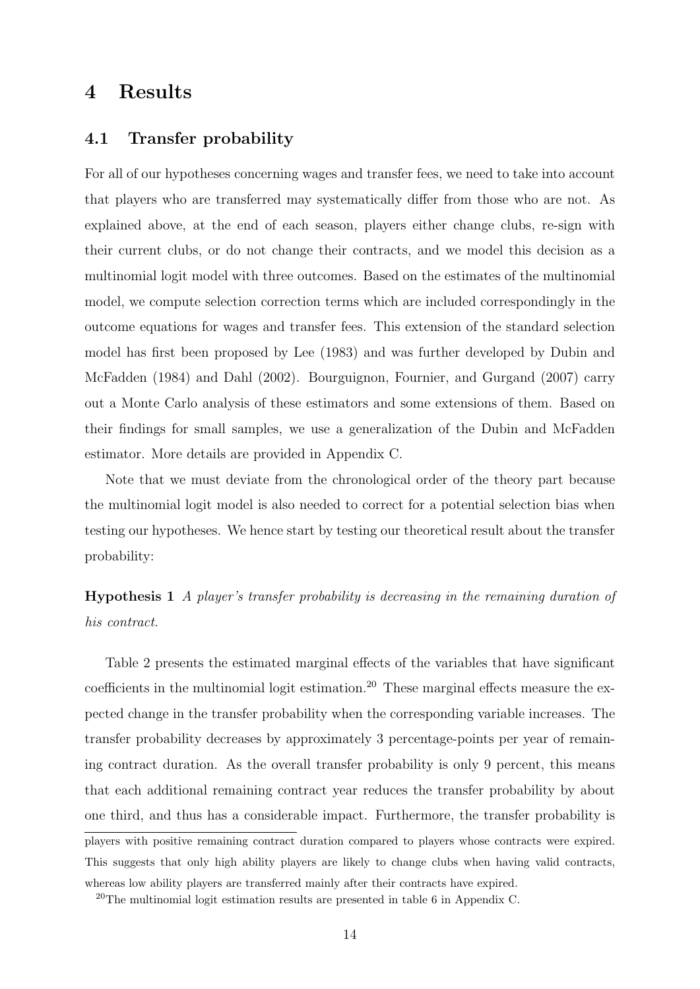# 4 Results

### 4.1 Transfer probability

For all of our hypotheses concerning wages and transfer fees, we need to take into account that players who are transferred may systematically differ from those who are not. As explained above, at the end of each season, players either change clubs, re-sign with their current clubs, or do not change their contracts, and we model this decision as a multinomial logit model with three outcomes. Based on the estimates of the multinomial model, we compute selection correction terms which are included correspondingly in the outcome equations for wages and transfer fees. This extension of the standard selection model has first been proposed by Lee (1983) and was further developed by Dubin and McFadden (1984) and Dahl (2002). Bourguignon, Fournier, and Gurgand (2007) carry out a Monte Carlo analysis of these estimators and some extensions of them. Based on their findings for small samples, we use a generalization of the Dubin and McFadden estimator. More details are provided in Appendix C.

Note that we must deviate from the chronological order of the theory part because the multinomial logit model is also needed to correct for a potential selection bias when testing our hypotheses. We hence start by testing our theoretical result about the transfer probability:

Hypothesis 1 A player's transfer probability is decreasing in the remaining duration of his contract.

Table 2 presents the estimated marginal effects of the variables that have significant coefficients in the multinomial logit estimation.<sup>20</sup> These marginal effects measure the expected change in the transfer probability when the corresponding variable increases. The transfer probability decreases by approximately 3 percentage-points per year of remaining contract duration. As the overall transfer probability is only 9 percent, this means that each additional remaining contract year reduces the transfer probability by about one third, and thus has a considerable impact. Furthermore, the transfer probability is players with positive remaining contract duration compared to players whose contracts were expired. This suggests that only high ability players are likely to change clubs when having valid contracts, whereas low ability players are transferred mainly after their contracts have expired.

 $20$ The multinomial logit estimation results are presented in table 6 in Appendix C.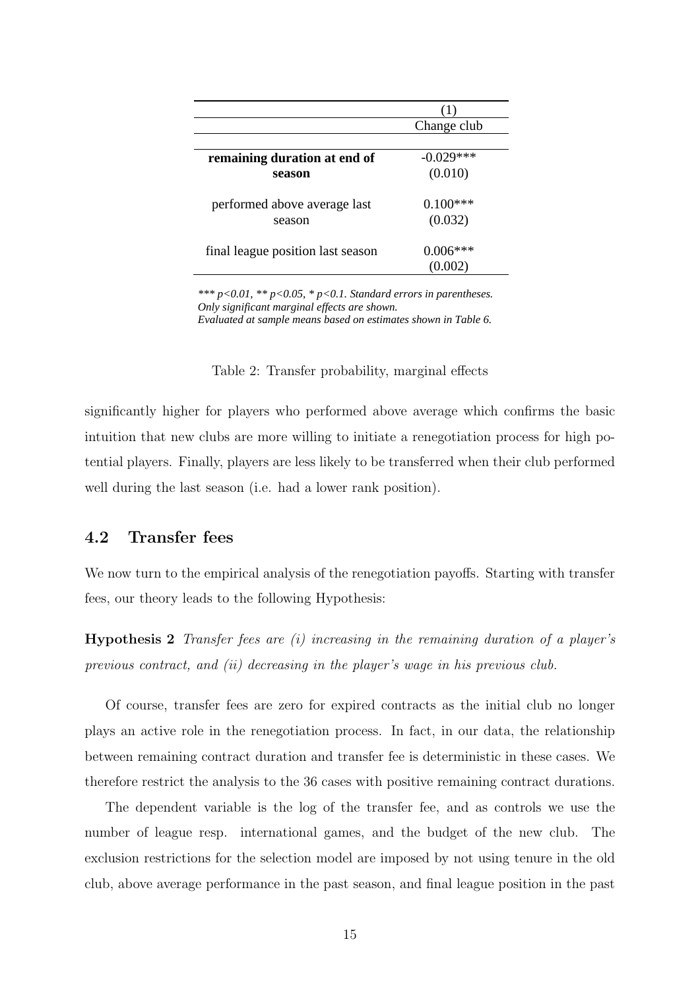|                                   | (1)         |
|-----------------------------------|-------------|
|                                   | Change club |
|                                   |             |
| remaining duration at end of      | $-0.029***$ |
| season                            | (0.010)     |
| performed above average last      | $0.100***$  |
| season                            | (0.032)     |
| final league position last season | $0.006***$  |
|                                   |             |
|                                   |             |

*\*\*\* p<0.01, \*\* p<0.05, \* p<0.1. Standard errors in parentheses. Only significant marginal effects are shown. Evaluated at sample means based on estimates shown in Table 6.* 

Table 2: Transfer probability, marginal effects

significantly higher for players who performed above average which confirms the basic intuition that new clubs are more willing to initiate a renegotiation process for high potential players. Finally, players are less likely to be transferred when their club performed well during the last season (i.e. had a lower rank position).

### 4.2 Transfer fees

We now turn to the empirical analysis of the renegotiation payoffs. Starting with transfer fees, our theory leads to the following Hypothesis:

Hypothesis 2 Transfer fees are (i) increasing in the remaining duration of a player's previous contract, and (ii) decreasing in the player's wage in his previous club.

Of course, transfer fees are zero for expired contracts as the initial club no longer plays an active role in the renegotiation process. In fact, in our data, the relationship between remaining contract duration and transfer fee is deterministic in these cases. We therefore restrict the analysis to the 36 cases with positive remaining contract durations.

The dependent variable is the log of the transfer fee, and as controls we use the number of league resp. international games, and the budget of the new club. The exclusion restrictions for the selection model are imposed by not using tenure in the old club, above average performance in the past season, and final league position in the past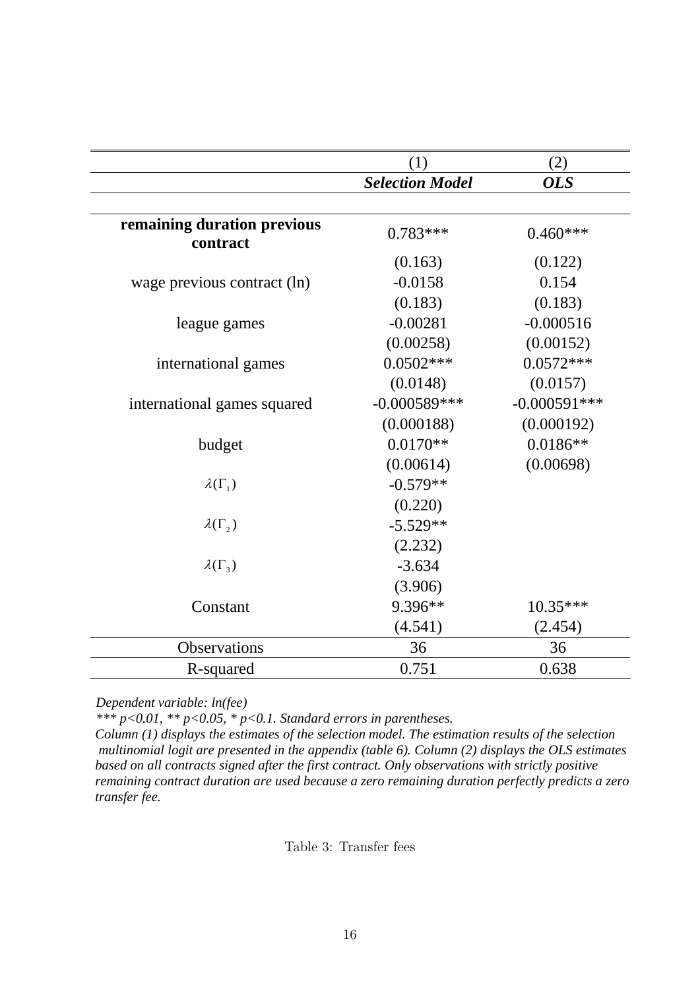|                                         | (1)                    | (2)            |
|-----------------------------------------|------------------------|----------------|
|                                         | <b>Selection Model</b> | <b>OLS</b>     |
|                                         |                        |                |
| remaining duration previous<br>contract | $0.783***$             | $0.460***$     |
|                                         | (0.163)                | (0.122)        |
| wage previous contract (ln)             | $-0.0158$              | 0.154          |
|                                         | (0.183)                | (0.183)        |
| league games                            | $-0.00281$             | $-0.000516$    |
|                                         | (0.00258)              | (0.00152)      |
| international games                     | $0.0502***$            | $0.0572***$    |
|                                         | (0.0148)               | (0.0157)       |
| international games squared             | $-0.000589***$         | $-0.000591***$ |
|                                         | (0.000188)             | (0.000192)     |
| budget                                  | $0.0170**$             | $0.0186**$     |
|                                         | (0.00614)              | (0.00698)      |
| $\lambda(\Gamma_1)$                     | $-0.579**$             |                |
|                                         | (0.220)                |                |
| $\lambda(\Gamma_2)$                     | $-5.529**$             |                |
|                                         | (2.232)                |                |
| $\lambda(\Gamma_3)$                     | $-3.634$               |                |
|                                         | (3.906)                |                |
| Constant                                | 9.396**                | $10.35***$     |
|                                         | (4.541)                | (2.454)        |
| Observations                            | 36                     | 36             |
| R-squared                               | 0.751                  | 0.638          |

*Dependent variable: ln(fee)* 

*\*\*\* p<0.01, \*\* p<0.05, \* p<0.1. Standard errors in parentheses.* 

*Column (1) displays the estimates of the selection model. The estimation results of the selection multinomial logit are presented in the appendix (table 6). Column (2) displays the OLS estimates based on all contracts signed after the first contract. Only observations with strictly positive remaining contract duration are used because a zero remaining duration perfectly predicts a zero transfer fee.*

Table 3: Transfer fees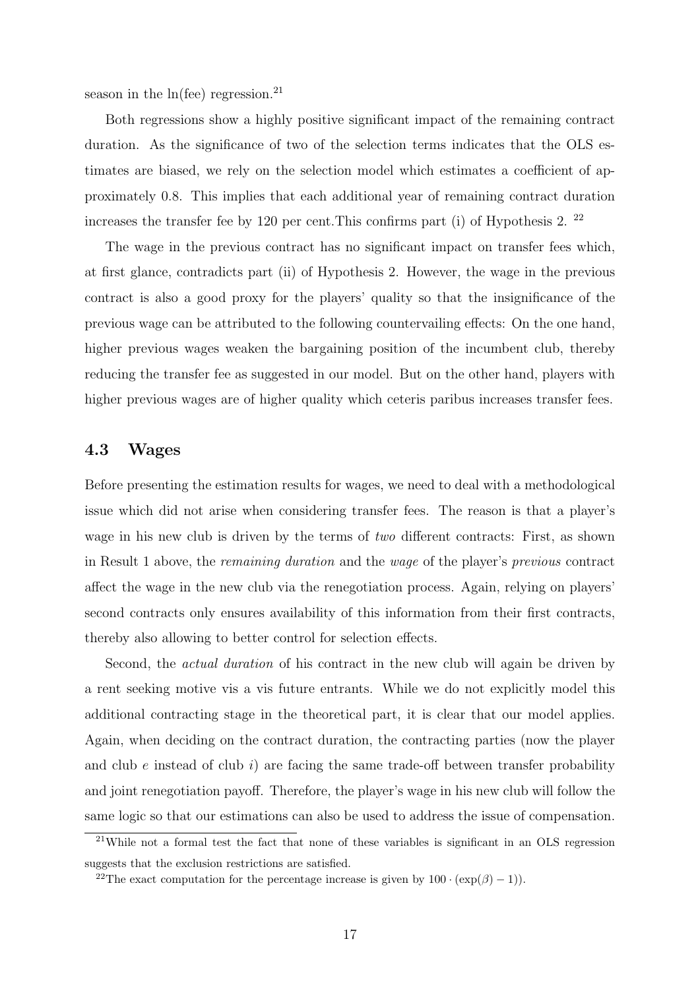season in the  $ln($ fee $)$  regression.<sup>21</sup>

Both regressions show a highly positive significant impact of the remaining contract duration. As the significance of two of the selection terms indicates that the OLS estimates are biased, we rely on the selection model which estimates a coefficient of approximately 0.8. This implies that each additional year of remaining contract duration increases the transfer fee by 120 per cent.This confirms part (i) of Hypothesis 2. <sup>22</sup>

The wage in the previous contract has no significant impact on transfer fees which, at first glance, contradicts part (ii) of Hypothesis 2. However, the wage in the previous contract is also a good proxy for the players' quality so that the insignificance of the previous wage can be attributed to the following countervailing effects: On the one hand, higher previous wages weaken the bargaining position of the incumbent club, thereby reducing the transfer fee as suggested in our model. But on the other hand, players with higher previous wages are of higher quality which ceteris paribus increases transfer fees.

### 4.3 Wages

Before presenting the estimation results for wages, we need to deal with a methodological issue which did not arise when considering transfer fees. The reason is that a player's wage in his new club is driven by the terms of two different contracts: First, as shown in Result 1 above, the remaining duration and the wage of the player's previous contract affect the wage in the new club via the renegotiation process. Again, relying on players' second contracts only ensures availability of this information from their first contracts, thereby also allowing to better control for selection effects.

Second, the actual duration of his contract in the new club will again be driven by a rent seeking motive vis a vis future entrants. While we do not explicitly model this additional contracting stage in the theoretical part, it is clear that our model applies. Again, when deciding on the contract duration, the contracting parties (now the player and club  $e$  instead of club  $i$ ) are facing the same trade-off between transfer probability and joint renegotiation payoff. Therefore, the player's wage in his new club will follow the same logic so that our estimations can also be used to address the issue of compensation.

<sup>21</sup>While not a formal test the fact that none of these variables is significant in an OLS regression suggests that the exclusion restrictions are satisfied.

<sup>&</sup>lt;sup>22</sup>The exact computation for the percentage increase is given by  $100 \cdot (\exp(\beta) - 1)$ .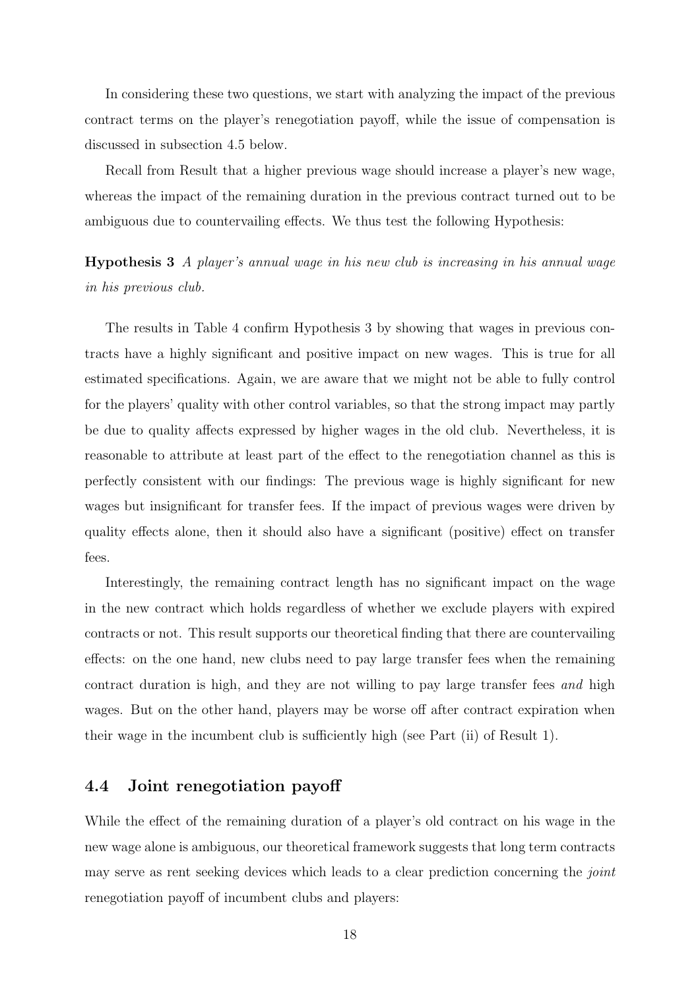In considering these two questions, we start with analyzing the impact of the previous contract terms on the player's renegotiation payoff, while the issue of compensation is discussed in subsection 4.5 below.

Recall from Result that a higher previous wage should increase a player's new wage, whereas the impact of the remaining duration in the previous contract turned out to be ambiguous due to countervailing effects. We thus test the following Hypothesis:

Hypothesis 3 A player's annual wage in his new club is increasing in his annual wage in his previous club.

The results in Table 4 confirm Hypothesis 3 by showing that wages in previous contracts have a highly significant and positive impact on new wages. This is true for all estimated specifications. Again, we are aware that we might not be able to fully control for the players' quality with other control variables, so that the strong impact may partly be due to quality affects expressed by higher wages in the old club. Nevertheless, it is reasonable to attribute at least part of the effect to the renegotiation channel as this is perfectly consistent with our findings: The previous wage is highly significant for new wages but insignificant for transfer fees. If the impact of previous wages were driven by quality effects alone, then it should also have a significant (positive) effect on transfer fees.

Interestingly, the remaining contract length has no significant impact on the wage in the new contract which holds regardless of whether we exclude players with expired contracts or not. This result supports our theoretical finding that there are countervailing effects: on the one hand, new clubs need to pay large transfer fees when the remaining contract duration is high, and they are not willing to pay large transfer fees and high wages. But on the other hand, players may be worse off after contract expiration when their wage in the incumbent club is sufficiently high (see Part (ii) of Result 1).

### 4.4 Joint renegotiation payoff

While the effect of the remaining duration of a player's old contract on his wage in the new wage alone is ambiguous, our theoretical framework suggests that long term contracts may serve as rent seeking devices which leads to a clear prediction concerning the *joint* renegotiation payoff of incumbent clubs and players: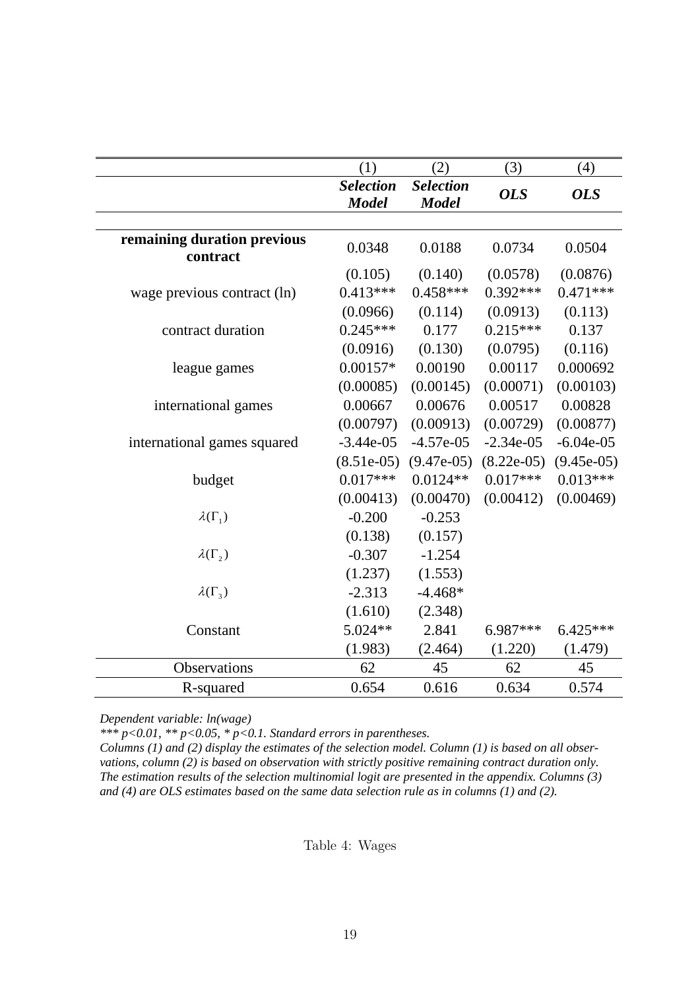|                                         | (1)                              | (2)                              | (3)          | (4)          |
|-----------------------------------------|----------------------------------|----------------------------------|--------------|--------------|
|                                         | <b>Selection</b><br><b>Model</b> | <b>Selection</b><br><b>Model</b> | <b>OLS</b>   | <b>OLS</b>   |
|                                         |                                  |                                  |              |              |
| remaining duration previous<br>contract | 0.0348                           | 0.0188                           | 0.0734       | 0.0504       |
|                                         | (0.105)                          | (0.140)                          | (0.0578)     | (0.0876)     |
| wage previous contract (ln)             | $0.413***$                       | $0.458***$                       | $0.392***$   | $0.471***$   |
|                                         | (0.0966)                         | (0.114)                          | (0.0913)     | (0.113)      |
| contract duration                       | $0.245***$                       | 0.177                            | $0.215***$   | 0.137        |
|                                         | (0.0916)                         | (0.130)                          | (0.0795)     | (0.116)      |
| league games                            | $0.00157*$                       | 0.00190                          | 0.00117      | 0.000692     |
|                                         | (0.00085)                        | (0.00145)                        | (0.00071)    | (0.00103)    |
| international games                     | 0.00667                          | 0.00676                          | 0.00517      | 0.00828      |
|                                         | (0.00797)                        | (0.00913)                        | (0.00729)    | (0.00877)    |
| international games squared             | $-3.44e-05$                      | $-4.57e-05$                      | $-2.34e-05$  | $-6.04e-05$  |
|                                         | $(8.51e-05)$                     | $(9.47e-05)$                     | $(8.22e-05)$ | $(9.45e-05)$ |
| budget                                  | $0.017***$                       | $0.0124**$                       | $0.017***$   | $0.013***$   |
|                                         | (0.00413)                        | (0.00470)                        | (0.00412)    | (0.00469)    |
| $\lambda(\Gamma_1)$                     | $-0.200$                         | $-0.253$                         |              |              |
|                                         | (0.138)                          | (0.157)                          |              |              |
| $\lambda(\Gamma_2)$                     | $-0.307$                         | $-1.254$                         |              |              |
|                                         | (1.237)                          | (1.553)                          |              |              |
| $\lambda(\Gamma_3)$                     | $-2.313$                         | $-4.468*$                        |              |              |
|                                         | (1.610)                          | (2.348)                          |              |              |
| Constant                                | 5.024**                          | 2.841                            | 6.987***     | $6.425***$   |
|                                         | (1.983)                          | (2.464)                          | (1.220)      | (1.479)      |
| Observations                            | 62                               | 45                               | 62           | 45           |
| R-squared                               | 0.654                            | 0.616                            | 0.634        | 0.574        |

*Dependent variable: ln(wage)* 

*\*\*\* p<0.01, \*\* p<0.05, \* p<0.1. Standard errors in parentheses.* 

*Columns (1) and (2) display the estimates of the selection model. Column (1) is based on all observations, column (2) is based on observation with strictly positive remaining contract duration only. The estimation results of the selection multinomial logit are presented in the appendix. Columns (3) and (4) are OLS estimates based on the same data selection rule as in columns (1) and (2).*

Table 4: Wages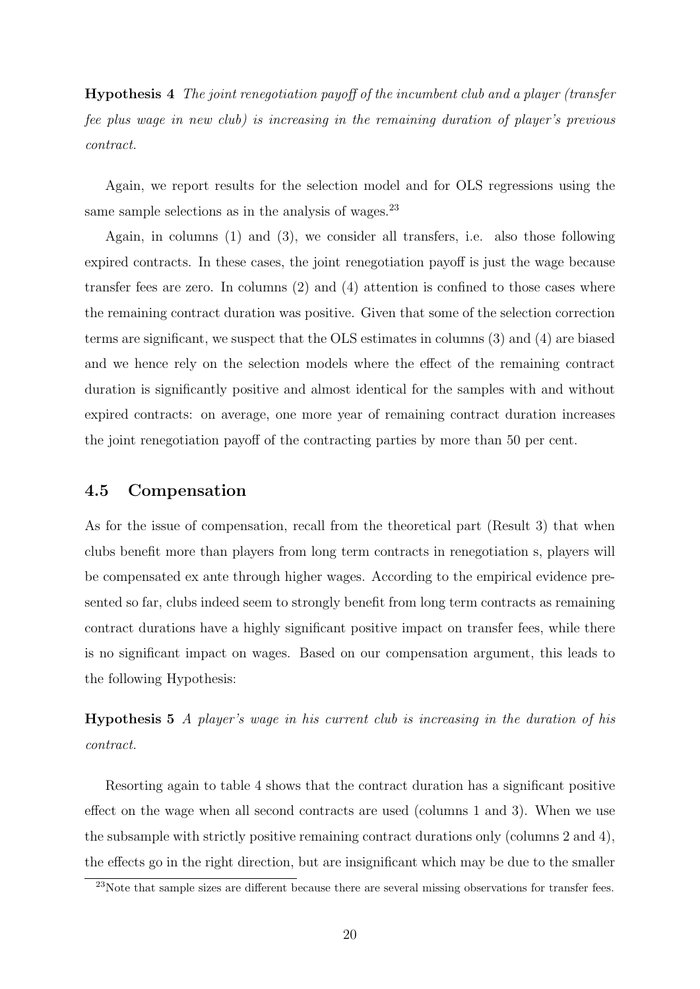Hypothesis 4 The joint renegotiation payoff of the incumbent club and a player (transfer fee plus wage in new club) is increasing in the remaining duration of player's previous contract.

Again, we report results for the selection model and for OLS regressions using the same sample selections as in the analysis of wages.<sup>23</sup>

Again, in columns (1) and (3), we consider all transfers, i.e. also those following expired contracts. In these cases, the joint renegotiation payoff is just the wage because transfer fees are zero. In columns (2) and (4) attention is confined to those cases where the remaining contract duration was positive. Given that some of the selection correction terms are significant, we suspect that the OLS estimates in columns (3) and (4) are biased and we hence rely on the selection models where the effect of the remaining contract duration is significantly positive and almost identical for the samples with and without expired contracts: on average, one more year of remaining contract duration increases the joint renegotiation payoff of the contracting parties by more than 50 per cent.

### 4.5 Compensation

As for the issue of compensation, recall from the theoretical part (Result 3) that when clubs benefit more than players from long term contracts in renegotiation s, players will be compensated ex ante through higher wages. According to the empirical evidence presented so far, clubs indeed seem to strongly benefit from long term contracts as remaining contract durations have a highly significant positive impact on transfer fees, while there is no significant impact on wages. Based on our compensation argument, this leads to the following Hypothesis:

Hypothesis 5 A player's wage in his current club is increasing in the duration of his contract.

Resorting again to table 4 shows that the contract duration has a significant positive effect on the wage when all second contracts are used (columns 1 and 3). When we use the subsample with strictly positive remaining contract durations only (columns 2 and 4), the effects go in the right direction, but are insignificant which may be due to the smaller

<sup>&</sup>lt;sup>23</sup>Note that sample sizes are different because there are several missing observations for transfer fees.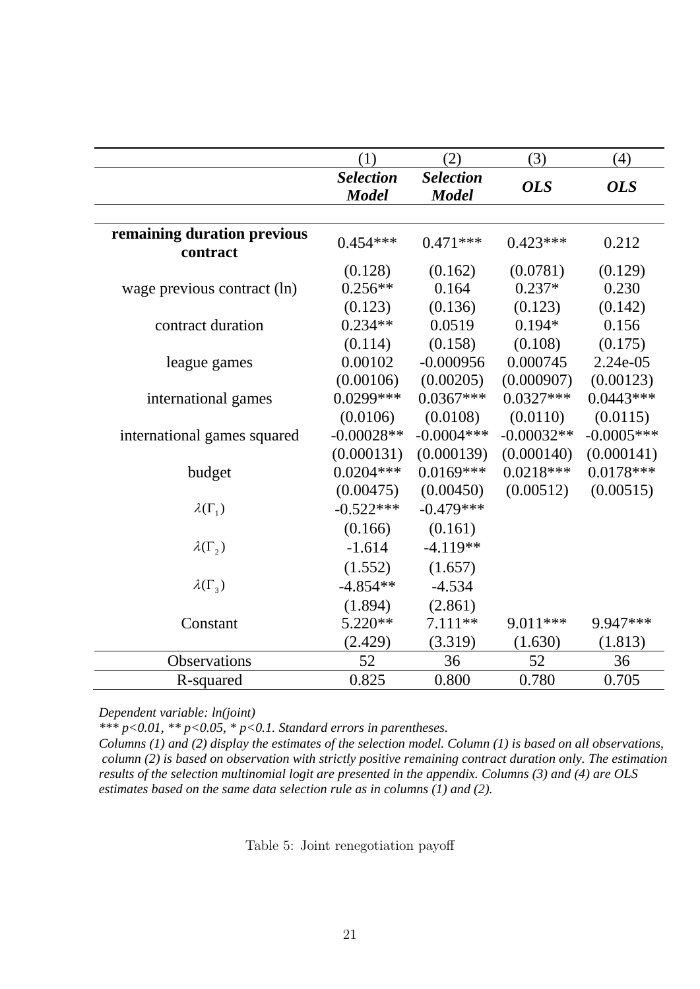|                                         | (1)              | (2)              | (3)          | (4)          |
|-----------------------------------------|------------------|------------------|--------------|--------------|
|                                         | <b>Selection</b> | <b>Selection</b> | <b>OLS</b>   | <b>OLS</b>   |
|                                         | <b>Model</b>     | <b>Model</b>     |              |              |
|                                         |                  |                  |              |              |
| remaining duration previous<br>contract | $0.454***$       | $0.471***$       | $0.423***$   | 0.212        |
|                                         | (0.128)          | (0.162)          | (0.0781)     | (0.129)      |
| wage previous contract (ln)             | $0.256**$        | 0.164            | $0.237*$     | 0.230        |
|                                         | (0.123)          | (0.136)          | (0.123)      | (0.142)      |
| contract duration                       | $0.234**$        | 0.0519           | $0.194*$     | 0.156        |
|                                         | (0.114)          | (0.158)          | (0.108)      | (0.175)      |
| league games                            | 0.00102          | $-0.000956$      | 0.000745     | 2.24e-05     |
|                                         | (0.00106)        | (0.00205)        | (0.000907)   | (0.00123)    |
| international games                     | $0.0299***$      | $0.0367***$      | $0.0327***$  | $0.0443***$  |
|                                         | (0.0106)         | (0.0108)         | (0.0110)     | (0.0115)     |
| international games squared             | $-0.00028**$     | $-0.0004***$     | $-0.00032**$ | $-0.0005***$ |
|                                         | (0.000131)       | (0.000139)       | (0.000140)   | (0.000141)   |
| budget                                  | $0.0204***$      | $0.0169***$      | $0.0218***$  | $0.0178***$  |
|                                         | (0.00475)        | (0.00450)        | (0.00512)    | (0.00515)    |
| $\lambda(\Gamma_1)$                     | $-0.522***$      | $-0.479***$      |              |              |
|                                         | (0.166)          | (0.161)          |              |              |
| $\lambda(\Gamma_2)$                     | $-1.614$         | $-4.119**$       |              |              |
|                                         | (1.552)          | (1.657)          |              |              |
| $\lambda(\Gamma_3)$                     | $-4.854**$       | $-4.534$         |              |              |
|                                         | (1.894)          | (2.861)          |              |              |
| Constant                                | 5.220**          | $7.111**$        | 9.011***     | 9.947***     |
|                                         | (2.429)          | (3.319)          | (1.630)      | (1.813)      |
| Observations                            | 52               | 36               | 52           | 36           |
| R-squared                               | 0.825            | 0.800            | 0.780        | 0.705        |

*Dependent variable: ln(joint)* 

*\*\*\* p<0.01, \*\* p<0.05, \* p<0.1. Standard errors in parentheses.* 

*Columns (1) and (2) display the estimates of the selection model. Column (1) is based on all observations, column (2) is based on observation with strictly positive remaining contract duration only. The estimation results of the selection multinomial logit are presented in the appendix. Columns (3) and (4) are OLS estimates based on the same data selection rule as in columns (1) and (2).*

Table 5: Joint renegotiation payoff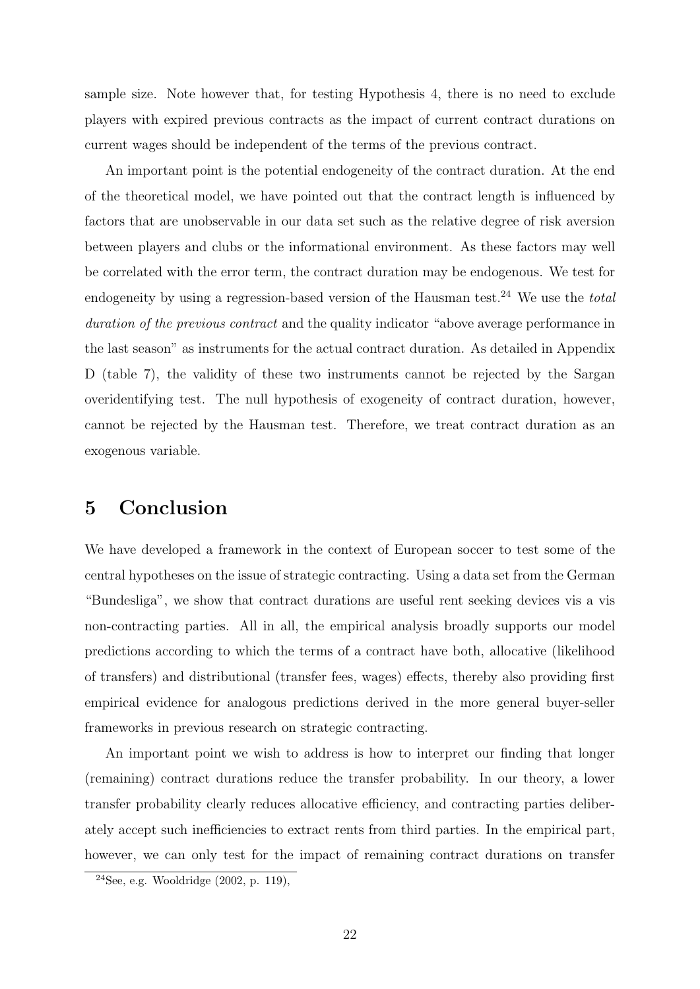sample size. Note however that, for testing Hypothesis 4, there is no need to exclude players with expired previous contracts as the impact of current contract durations on current wages should be independent of the terms of the previous contract.

An important point is the potential endogeneity of the contract duration. At the end of the theoretical model, we have pointed out that the contract length is influenced by factors that are unobservable in our data set such as the relative degree of risk aversion between players and clubs or the informational environment. As these factors may well be correlated with the error term, the contract duration may be endogenous. We test for endogeneity by using a regression-based version of the Hausman test.<sup>24</sup> We use the *total* duration of the previous contract and the quality indicator "above average performance in the last season" as instruments for the actual contract duration. As detailed in Appendix D (table 7), the validity of these two instruments cannot be rejected by the Sargan overidentifying test. The null hypothesis of exogeneity of contract duration, however, cannot be rejected by the Hausman test. Therefore, we treat contract duration as an exogenous variable.

# 5 Conclusion

We have developed a framework in the context of European soccer to test some of the central hypotheses on the issue of strategic contracting. Using a data set from the German "Bundesliga", we show that contract durations are useful rent seeking devices vis a vis non-contracting parties. All in all, the empirical analysis broadly supports our model predictions according to which the terms of a contract have both, allocative (likelihood of transfers) and distributional (transfer fees, wages) effects, thereby also providing first empirical evidence for analogous predictions derived in the more general buyer-seller frameworks in previous research on strategic contracting.

An important point we wish to address is how to interpret our finding that longer (remaining) contract durations reduce the transfer probability. In our theory, a lower transfer probability clearly reduces allocative efficiency, and contracting parties deliberately accept such inefficiencies to extract rents from third parties. In the empirical part, however, we can only test for the impact of remaining contract durations on transfer

 $24$ See, e.g. Wooldridge  $(2002, p. 119)$ ,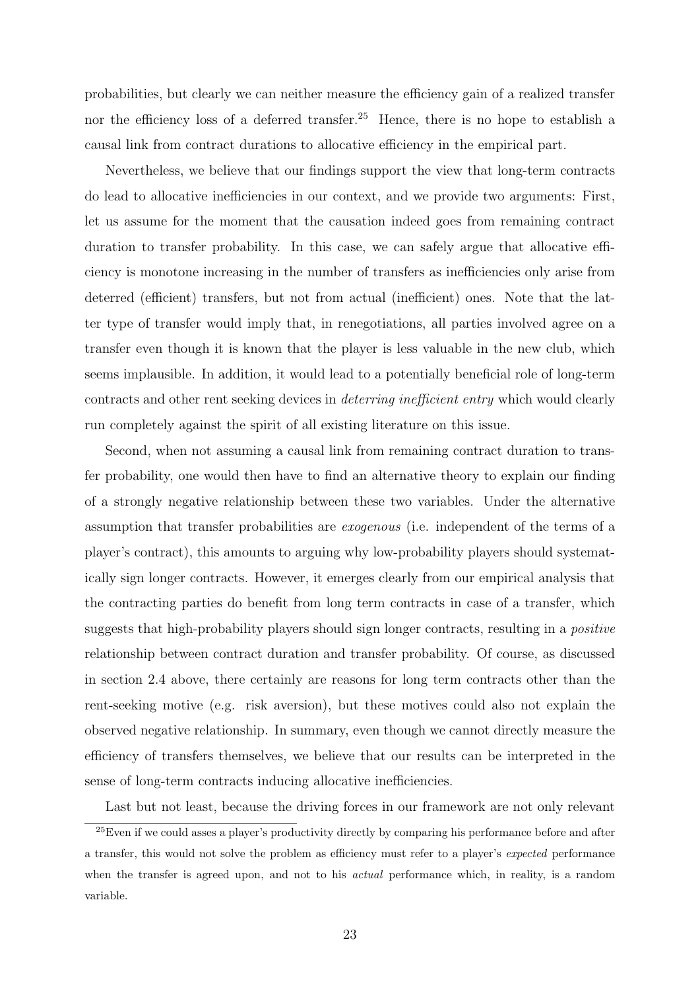probabilities, but clearly we can neither measure the efficiency gain of a realized transfer nor the efficiency loss of a deferred transfer.<sup>25</sup> Hence, there is no hope to establish a causal link from contract durations to allocative efficiency in the empirical part.

Nevertheless, we believe that our findings support the view that long-term contracts do lead to allocative inefficiencies in our context, and we provide two arguments: First, let us assume for the moment that the causation indeed goes from remaining contract duration to transfer probability. In this case, we can safely argue that allocative efficiency is monotone increasing in the number of transfers as inefficiencies only arise from deterred (efficient) transfers, but not from actual (inefficient) ones. Note that the latter type of transfer would imply that, in renegotiations, all parties involved agree on a transfer even though it is known that the player is less valuable in the new club, which seems implausible. In addition, it would lead to a potentially beneficial role of long-term contracts and other rent seeking devices in deterring inefficient entry which would clearly run completely against the spirit of all existing literature on this issue.

Second, when not assuming a causal link from remaining contract duration to transfer probability, one would then have to find an alternative theory to explain our finding of a strongly negative relationship between these two variables. Under the alternative assumption that transfer probabilities are exogenous (i.e. independent of the terms of a player's contract), this amounts to arguing why low-probability players should systematically sign longer contracts. However, it emerges clearly from our empirical analysis that the contracting parties do benefit from long term contracts in case of a transfer, which suggests that high-probability players should sign longer contracts, resulting in a positive relationship between contract duration and transfer probability. Of course, as discussed in section 2.4 above, there certainly are reasons for long term contracts other than the rent-seeking motive (e.g. risk aversion), but these motives could also not explain the observed negative relationship. In summary, even though we cannot directly measure the efficiency of transfers themselves, we believe that our results can be interpreted in the sense of long-term contracts inducing allocative inefficiencies.

Last but not least, because the driving forces in our framework are not only relevant

<sup>&</sup>lt;sup>25</sup>Even if we could asses a player's productivity directly by comparing his performance before and after a transfer, this would not solve the problem as efficiency must refer to a player's expected performance when the transfer is agreed upon, and not to his *actual* performance which, in reality, is a random variable.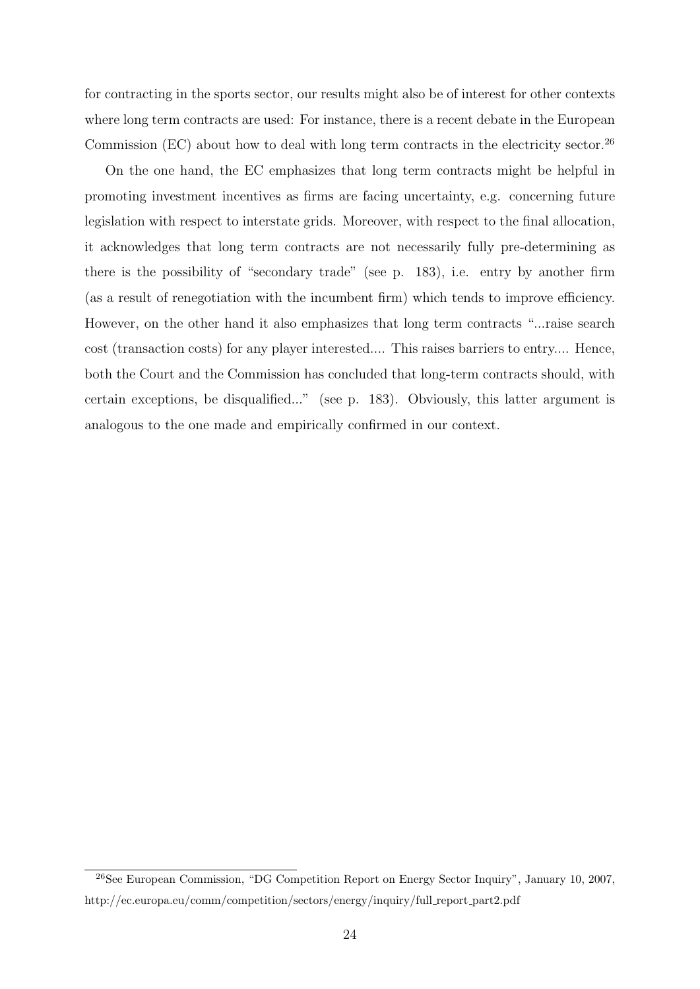for contracting in the sports sector, our results might also be of interest for other contexts where long term contracts are used: For instance, there is a recent debate in the European Commission  $(EC)$  about how to deal with long term contracts in the electricity sector.<sup>26</sup>

On the one hand, the EC emphasizes that long term contracts might be helpful in promoting investment incentives as firms are facing uncertainty, e.g. concerning future legislation with respect to interstate grids. Moreover, with respect to the final allocation, it acknowledges that long term contracts are not necessarily fully pre-determining as there is the possibility of "secondary trade" (see p. 183), i.e. entry by another firm (as a result of renegotiation with the incumbent firm) which tends to improve efficiency. However, on the other hand it also emphasizes that long term contracts "...raise search cost (transaction costs) for any player interested.... This raises barriers to entry.... Hence, both the Court and the Commission has concluded that long-term contracts should, with certain exceptions, be disqualified..." (see p. 183). Obviously, this latter argument is analogous to the one made and empirically confirmed in our context.

<sup>26</sup>See European Commission, "DG Competition Report on Energy Sector Inquiry", January 10, 2007, http://ec.europa.eu/comm/competition/sectors/energy/inquiry/full report part2.pdf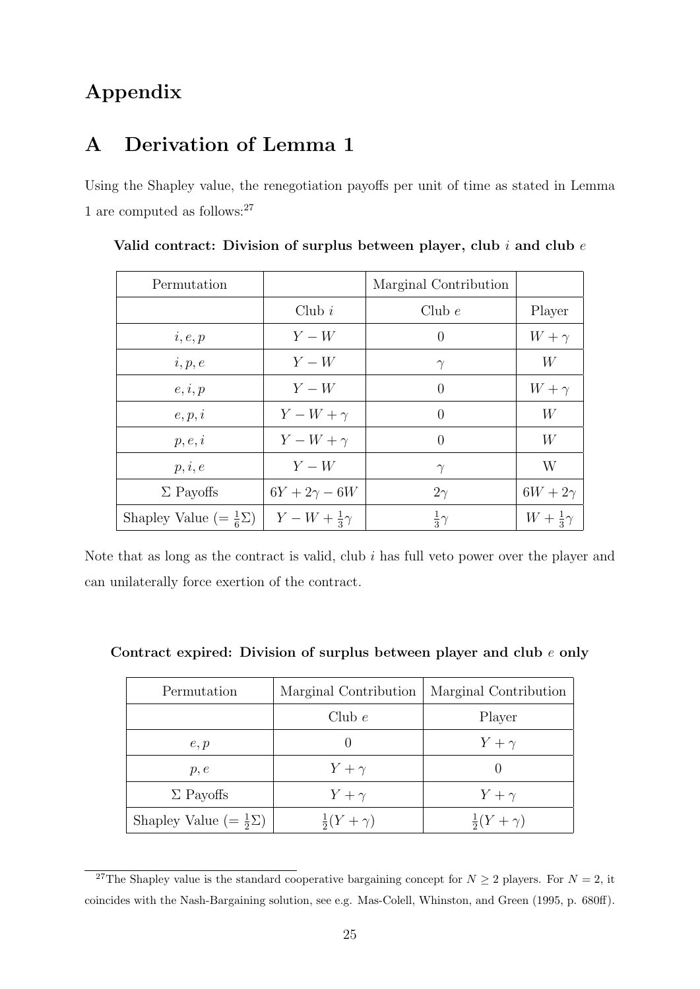# Appendix

# A Derivation of Lemma 1

Using the Shapley value, the renegotiation payoffs per unit of time as stated in Lemma  $1$  are computed as follows:  $27\,$ 

| Permutation                            |                         | Marginal Contribution |                       |
|----------------------------------------|-------------------------|-----------------------|-----------------------|
|                                        | Club $i$                | Club $e$              | Player                |
| i, e, p                                | $Y - W$                 | $\theta$              | $W + \gamma$          |
| i, p, e                                | $Y-W$                   | $\gamma$              | W                     |
| e, i, p                                | $Y-W$                   | $\theta$              | $W + \gamma$          |
| e, p, i                                | $Y-W+\gamma$            | 0                     | W                     |
| p, e, i                                | $Y-W+\gamma$            | $\theta$              | W                     |
| p, i, e                                | $Y-W$                   | $\gamma$              | W                     |
| $\Sigma$ Payoffs                       | $6Y + 2\gamma - 6W$     | $2\gamma$             | $6W + 2\gamma$        |
| Shapley Value (= $\frac{1}{6}\Sigma$ ) | $Y-W+\frac{1}{3}\gamma$ | $rac{1}{3}\gamma$     | $W+\frac{1}{3}\gamma$ |

Valid contract: Division of surplus between player, club  $i$  and club  $e$ 

Note that as long as the contract is valid, club i has full veto power over the player and can unilaterally force exertion of the contract.

| Permutation                          | Marginal Contribution   | Marginal Contribution   |
|--------------------------------------|-------------------------|-------------------------|
|                                      | Club $e$                | Player                  |
| e, p                                 |                         | $Y+\gamma$              |
| p, e                                 | $Y+\gamma$              |                         |
| $\Sigma$ Payoffs                     | $Y+\gamma$              | $Y+\gamma$              |
| Shapley Value $(=\frac{1}{2}\Sigma)$ | $\frac{1}{2}(Y+\gamma)$ | $\frac{1}{2}(Y+\gamma)$ |

Contract expired: Division of surplus between player and club e only

<sup>&</sup>lt;sup>27</sup>The Shapley value is the standard cooperative bargaining concept for  $N \ge 2$  players. For  $N = 2$ , it coincides with the Nash-Bargaining solution, see e.g. Mas-Colell, Whinston, and Green (1995, p. 680ff).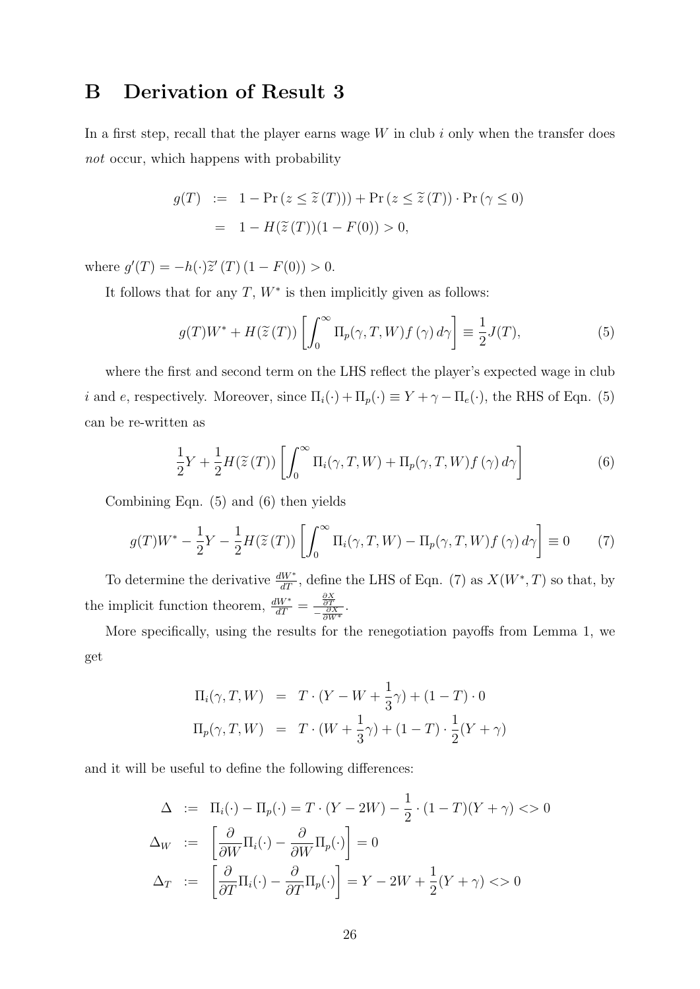# B Derivation of Result 3

In a first step, recall that the player earns wage  $W$  in club  $i$  only when the transfer does not occur, which happens with probability

$$
g(T) := 1 - \Pr(z \le \tilde{z}(T))) + \Pr(z \le \tilde{z}(T)) \cdot \Pr(\gamma \le 0)
$$
  
= 1 - H(\tilde{z}(T))(1 - F(0)) > 0,

where  $g'(T) = -h(\cdot)\tilde{z}'(T) (1 - F(0)) > 0.$ 

It follows that for any  $T, W^*$  is then implicitly given as follows:

$$
g(T)W^* + H(\tilde{z}(T))\left[\int_0^\infty \Pi_p(\gamma, T, W)f(\gamma) d\gamma\right] \equiv \frac{1}{2}J(T),\tag{5}
$$

where the first and second term on the LHS reflect the player's expected wage in club *i* and *e*, respectively. Moreover, since  $\Pi_i(\cdot) + \Pi_p(\cdot) \equiv Y + \gamma - \Pi_e(\cdot)$ , the RHS of Eqn. (5) can be re-written as

$$
\frac{1}{2}Y + \frac{1}{2}H(\widetilde{z}(T))\left[\int_0^\infty \Pi_i(\gamma, T, W) + \Pi_p(\gamma, T, W)f(\gamma) d\gamma\right]
$$
(6)

Combining Eqn. (5) and (6) then yields

$$
g(T)W^* - \frac{1}{2}Y - \frac{1}{2}H(\widetilde{z}(T))\left[\int_0^\infty \Pi_i(\gamma, T, W) - \Pi_p(\gamma, T, W)f(\gamma) d\gamma\right] \equiv 0 \tag{7}
$$

To determine the derivative  $\frac{dW^*}{dT}$ , define the LHS of Eqn. (7) as  $X(W^*,T)$  so that, by the implicit function theorem,  $\frac{dW^*}{dT} = \frac{\frac{\partial X}{\partial T}}{-\frac{\partial X}{\partial W^*}}$ .

More specifically, using the results for the renegotiation payoffs from Lemma 1, we get

$$
\Pi_i(\gamma, T, W) = T \cdot (Y - W + \frac{1}{3}\gamma) + (1 - T) \cdot 0
$$
  

$$
\Pi_p(\gamma, T, W) = T \cdot (W + \frac{1}{3}\gamma) + (1 - T) \cdot \frac{1}{2}(Y + \gamma)
$$

and it will be useful to define the following differences:

$$
\Delta := \Pi_i(\cdot) - \Pi_p(\cdot) = T \cdot (Y - 2W) - \frac{1}{2} \cdot (1 - T)(Y + \gamma) < 0
$$
  
\n
$$
\Delta_W := \left[ \frac{\partial}{\partial W} \Pi_i(\cdot) - \frac{\partial}{\partial W} \Pi_p(\cdot) \right] = 0
$$
  
\n
$$
\Delta_T := \left[ \frac{\partial}{\partial T} \Pi_i(\cdot) - \frac{\partial}{\partial T} \Pi_p(\cdot) \right] = Y - 2W + \frac{1}{2}(Y + \gamma) < 0
$$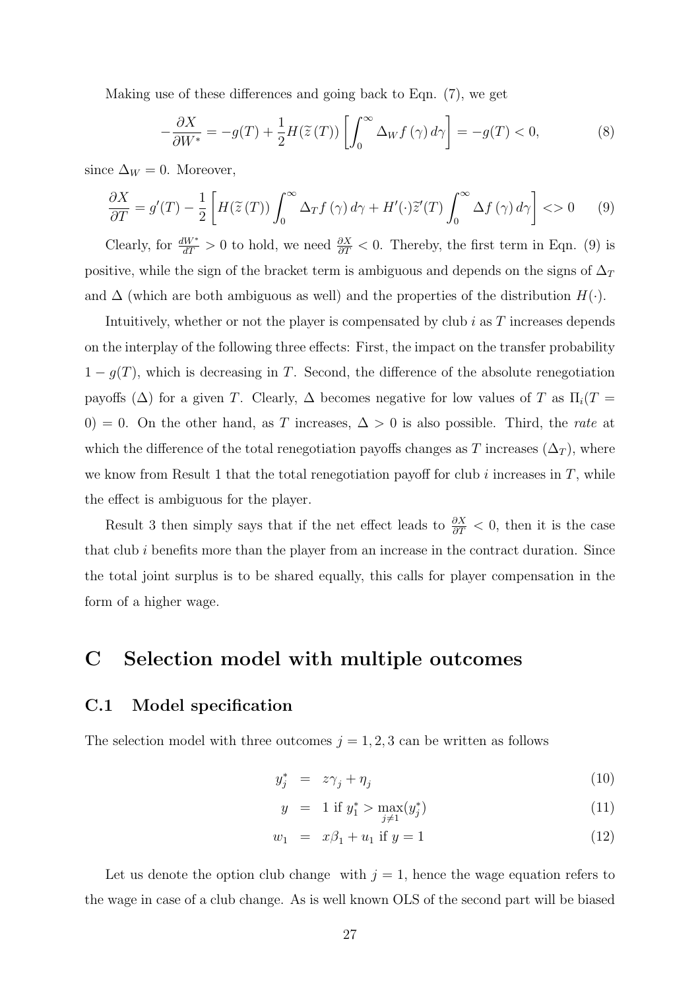Making use of these differences and going back to Eqn. (7), we get

$$
-\frac{\partial X}{\partial W^*} = -g(T) + \frac{1}{2}H(\widetilde{z}(T))\left[\int_0^\infty \Delta_W f(\gamma) d\gamma\right] = -g(T) < 0,\tag{8}
$$

since  $\Delta_W = 0$ . Moreover,

$$
\frac{\partial X}{\partial T} = g'(T) - \frac{1}{2} \left[ H(\tilde{z}(T)) \int_0^\infty \Delta_T f(\gamma) \, d\gamma + H'(\cdot) \tilde{z}'(T) \int_0^\infty \Delta f(\gamma) \, d\gamma \right] < 0 \tag{9}
$$

Clearly, for  $\frac{dW^*}{dT} > 0$  to hold, we need  $\frac{\partial X}{\partial T} < 0$ . Thereby, the first term in Eqn. (9) is positive, while the sign of the bracket term is ambiguous and depends on the signs of  $\Delta_T$ and  $\Delta$  (which are both ambiguous as well) and the properties of the distribution  $H(\cdot)$ .

Intuitively, whether or not the player is compensated by club  $i$  as  $T$  increases depends on the interplay of the following three effects: First, the impact on the transfer probability  $1 - g(T)$ , which is decreasing in T. Second, the difference of the absolute renegotiation payoffs ( $\Delta$ ) for a given T. Clearly,  $\Delta$  becomes negative for low values of T as  $\Pi_i(T =$ 0) = 0. On the other hand, as T increases,  $\Delta > 0$  is also possible. Third, the rate at which the difference of the total renegotiation payoffs changes as T increases  $(\Delta_T)$ , where we know from Result 1 that the total renegotiation payoff for club i increases in  $T$ , while the effect is ambiguous for the player.

Result 3 then simply says that if the net effect leads to  $\frac{\partial X}{\partial T}$  < 0, then it is the case that club  $i$  benefits more than the player from an increase in the contract duration. Since the total joint surplus is to be shared equally, this calls for player compensation in the form of a higher wage.

### C Selection model with multiple outcomes

### C.1 Model specification

The selection model with three outcomes  $j = 1, 2, 3$  can be written as follows

$$
y_j^* = z\gamma_j + \eta_j \tag{10}
$$

$$
y = 1 \text{ if } y_1^* > \max_{j \neq 1} (y_j^*) \tag{11}
$$

$$
w_1 = x\beta_1 + u_1 \text{ if } y = 1 \tag{12}
$$

Let us denote the option club change with  $j = 1$ , hence the wage equation refers to the wage in case of a club change. As is well known OLS of the second part will be biased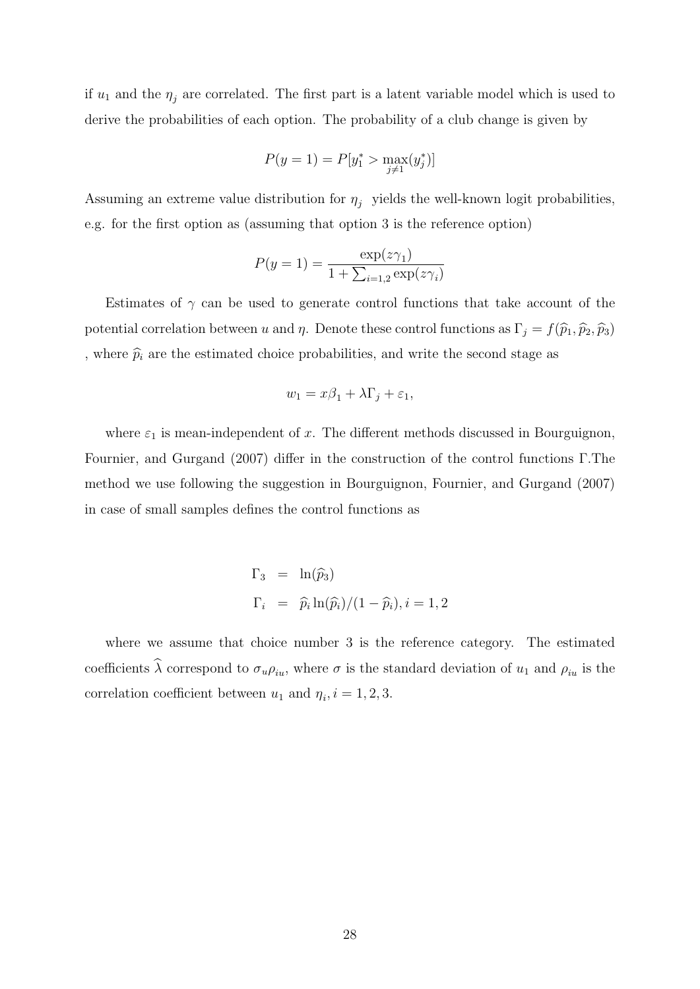if  $u_1$  and the  $\eta_i$  are correlated. The first part is a latent variable model which is used to derive the probabilities of each option. The probability of a club change is given by

$$
P(y=1) = P[y_1^* > \max_{j \neq 1}(y_j^*)]
$$

Assuming an extreme value distribution for  $\eta_i$  yields the well-known logit probabilities, e.g. for the first option as (assuming that option 3 is the reference option)

$$
P(y = 1) = \frac{\exp(z\gamma_1)}{1 + \sum_{i=1,2} \exp(z\gamma_i)}
$$

Estimates of  $\gamma$  can be used to generate control functions that take account of the potential correlation between u and  $\eta$ . Denote these control functions as  $\Gamma_j = f(\widehat{p}_1, \widehat{p}_2, \widehat{p}_3)$ , where  $\widehat{p}_i$  are the estimated choice probabilities, and write the second stage as

$$
w_1 = x\beta_1 + \lambda \Gamma_j + \varepsilon_1,
$$

where  $\varepsilon_1$  is mean-independent of x. The different methods discussed in Bourguignon, Fournier, and Gurgand (2007) differ in the construction of the control functions Γ.The method we use following the suggestion in Bourguignon, Fournier, and Gurgand (2007) in case of small samples defines the control functions as

$$
\Gamma_3 = \ln(\widehat{p}_3)
$$
  
\n
$$
\Gamma_i = \widehat{p}_i \ln(\widehat{p}_i)/(1 - \widehat{p}_i), i = 1, 2
$$

where we assume that choice number 3 is the reference category. The estimated coefficients  $\hat{\lambda}$  correspond to  $\sigma_u \rho_{iu}$ , where  $\sigma$  is the standard deviation of  $u_1$  and  $\rho_{iu}$  is the correlation coefficient between  $u_1$  and  $\eta_i$ ,  $i = 1, 2, 3$ .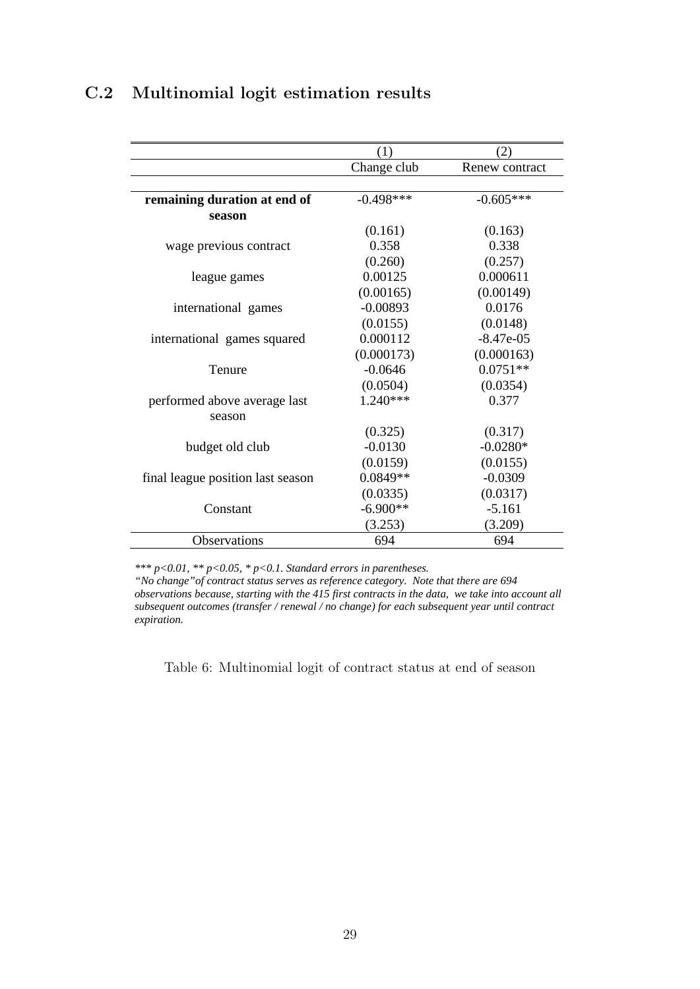# C.2 Multinomial logit estimation results

|                                   | (1)         | (2)            |
|-----------------------------------|-------------|----------------|
|                                   | Change club | Renew contract |
|                                   |             |                |
| remaining duration at end of      | $-0.498***$ | $-0.605***$    |
| season                            |             |                |
|                                   | (0.161)     | (0.163)        |
| wage previous contract            | 0.358       | 0.338          |
|                                   | (0.260)     | (0.257)        |
| league games                      | 0.00125     | 0.000611       |
|                                   | (0.00165)   | (0.00149)      |
| international games               | $-0.00893$  | 0.0176         |
|                                   | (0.0155)    | (0.0148)       |
| international games squared       | 0.000112    | $-8.47e-05$    |
|                                   | (0.000173)  | (0.000163)     |
| Tenure                            | $-0.0646$   | $0.0751**$     |
|                                   | (0.0504)    | (0.0354)       |
| performed above average last      | $1.240***$  | 0.377          |
| season                            |             |                |
|                                   | (0.325)     | (0.317)        |
| budget old club                   | $-0.0130$   | $-0.0280*$     |
|                                   | (0.0159)    | (0.0155)       |
| final league position last season | $0.0849**$  | $-0.0309$      |
|                                   | (0.0335)    | (0.0317)       |
| Constant                          | $-6.900**$  | $-5.161$       |
|                                   | (3.253)     | (3.209)        |
| Observations                      | 694         | 694            |

*\*\*\* p<0.01, \*\* p<0.05, \* p<0.1. Standard errors in parentheses.* 

*"No change"of contract status serves as reference category. Note that there are 694 observations because, starting with the 415 first contracts in the data, we take into account all subsequent outcomes (transfer / renewal / no change) for each subsequent year until contract expiration.*

Table 6: Multinomial logit of contract status at end of season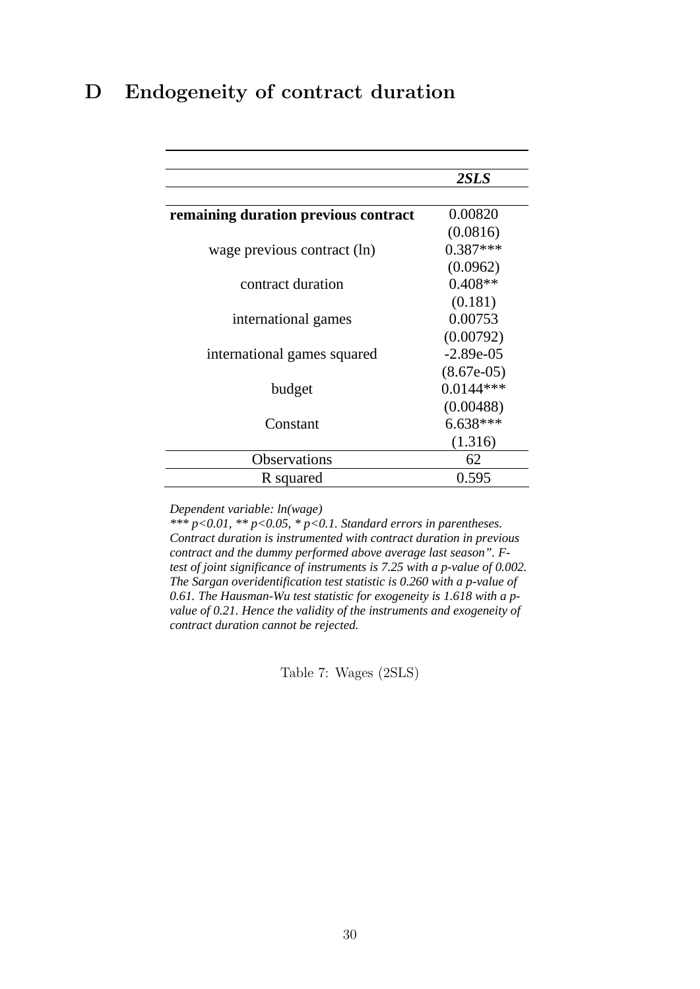# D Endogeneity of contract duration

|                                      | 2SLS         |
|--------------------------------------|--------------|
|                                      |              |
| remaining duration previous contract | 0.00820      |
|                                      | (0.0816)     |
| wage previous contract (ln)          | $0.387***$   |
|                                      | (0.0962)     |
| contract duration                    | $0.408**$    |
|                                      | (0.181)      |
| international games                  | 0.00753      |
|                                      | (0.00792)    |
| international games squared          | $-2.89e-05$  |
|                                      | $(8.67e-05)$ |
| budget                               | $0.0144***$  |
|                                      | (0.00488)    |
| Constant                             | $6.638***$   |
|                                      | (1.316)      |
| <b>Observations</b>                  | 62           |
| R squared                            | 0.595        |

*Dependent variable: ln(wage)* 

*\*\*\* p<0.01, \*\* p<0.05, \* p<0.1. Standard errors in parentheses. Contract duration is instrumented with contract duration in previous contract and the dummy performed above average last season". Ftest of joint significance of instruments is 7.25 with a p-value of 0.002. The Sargan overidentification test statistic is 0.260 with a p-value of 0.61. The Hausman-Wu test statistic for exogeneity is 1.618 with a pvalue of 0.21. Hence the validity of the instruments and exogeneity of contract duration cannot be rejected.* 

Table 7: Wages (2SLS)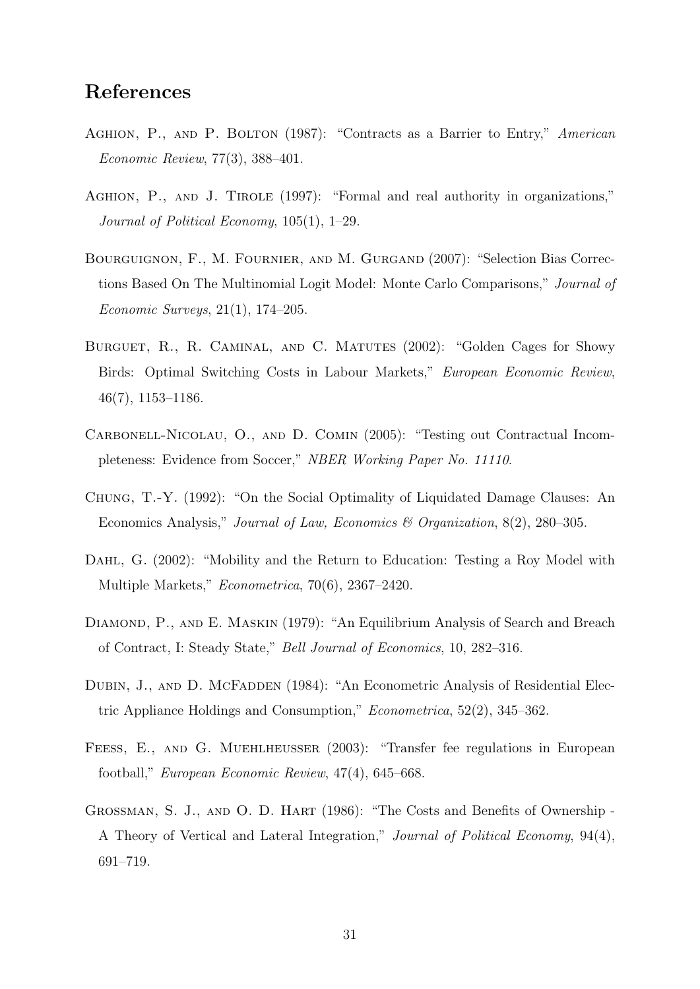# References

- AGHION, P., AND P. BOLTON (1987): "Contracts as a Barrier to Entry," American Economic Review, 77(3), 388–401.
- AGHION, P., AND J. TIROLE (1997): "Formal and real authority in organizations," Journal of Political Economy, 105(1), 1–29.
- Bourguignon, F., M. Fournier, and M. Gurgand (2007): "Selection Bias Corrections Based On The Multinomial Logit Model: Monte Carlo Comparisons," Journal of Economic Surveys, 21(1), 174–205.
- BURGUET, R., R. CAMINAL, AND C. MATUTES (2002): "Golden Cages for Showy Birds: Optimal Switching Costs in Labour Markets," European Economic Review, 46(7), 1153–1186.
- Carbonell-Nicolau, O., and D. Comin (2005): "Testing out Contractual Incompleteness: Evidence from Soccer," NBER Working Paper No. 11110.
- Chung, T.-Y. (1992): "On the Social Optimality of Liquidated Damage Clauses: An Economics Analysis," Journal of Law, Economics & Organization, 8(2), 280–305.
- Dahl, G. (2002): "Mobility and the Return to Education: Testing a Roy Model with Multiple Markets," Econometrica, 70(6), 2367–2420.
- DIAMOND, P., AND E. MASKIN (1979): "An Equilibrium Analysis of Search and Breach of Contract, I: Steady State," Bell Journal of Economics, 10, 282–316.
- DUBIN, J., AND D. MCFADDEN (1984): "An Econometric Analysis of Residential Electric Appliance Holdings and Consumption," Econometrica, 52(2), 345–362.
- Feess, E., and G. Muehlheusser (2003): "Transfer fee regulations in European football," European Economic Review, 47(4), 645–668.
- Grossman, S. J., and O. D. Hart (1986): "The Costs and Benefits of Ownership A Theory of Vertical and Lateral Integration," Journal of Political Economy, 94(4), 691–719.